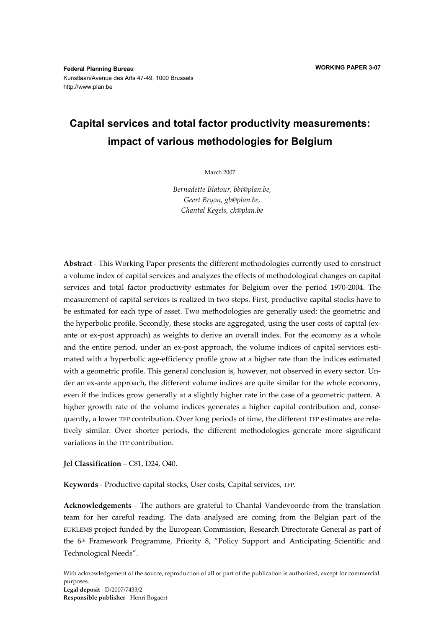# **Capital services and total factor productivity measurements: impact of various methodologies for Belgium**

March 2007

*Bernadette Biatour, bbi@plan.be, Geert Bryon, gb@plan.be, Chantal Kegels, ck@plan.be* 

**Abstract** - This Working Paper presents the different methodologies currently used to construct a volume index of capital services and analyzes the effects of methodological changes on capital services and total factor productivity estimates for Belgium over the period 1970-2004. The measurement of capital services is realized in two steps. First, productive capital stocks have to be estimated for each type of asset. Two methodologies are generally used: the geometric and the hyperbolic profile. Secondly, these stocks are aggregated, using the user costs of capital (exante or ex-post approach) as weights to derive an overall index. For the economy as a whole and the entire period, under an ex-post approach, the volume indices of capital services estimated with a hyperbolic age-efficiency profile grow at a higher rate than the indices estimated with a geometric profile. This general conclusion is, however, not observed in every sector. Under an ex-ante approach, the different volume indices are quite similar for the whole economy, even if the indices grow generally at a slightly higher rate in the case of a geometric pattern. A higher growth rate of the volume indices generates a higher capital contribution and, consequently, a lower TFP contribution. Over long periods of time, the different TFP estimates are relatively similar. Over shorter periods, the different methodologies generate more significant variations in the TFP contribution.

**Jel Classification** – C81, D24, O40.

**Keywords** - Productive capital stocks, User costs, Capital services, TFP.

**Acknowledgements** - The authors are grateful to Chantal Vandevoorde from the translation team for her careful reading. The data analysed are coming from the Belgian part of the EUKLEMS project funded by the European Commission, Research Directorate General as part of the 6<sup>th</sup> Framework Programme, Priority 8, "Policy Support and Anticipating Scientific and Technological Needs".

With acknowledgement of the source, reproduction of all or part of the publication is authorized, except for commercial purposes. **Legal deposit** - D/2007/7433/2 **Responsible publisher** - Henri Bogaert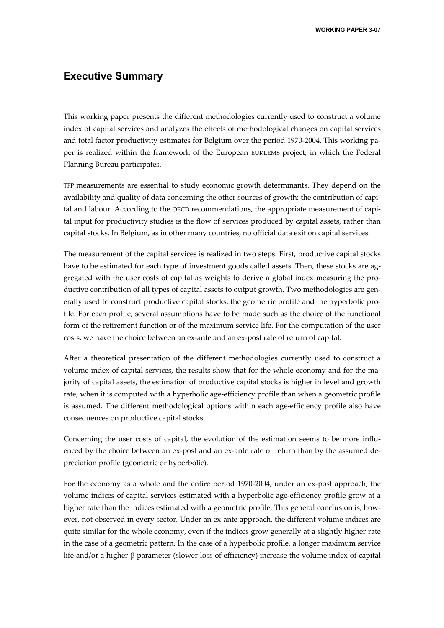### **Executive Summary**

This working paper presents the different methodologies currently used to construct a volume index of capital services and analyzes the effects of methodological changes on capital services and total factor productivity estimates for Belgium over the period 1970-2004. This working paper is realized within the framework of the European EUKLEMS project, in which the Federal Planning Bureau participates.

TFP measurements are essential to study economic growth determinants. They depend on the availability and quality of data concerning the other sources of growth: the contribution of capital and labour. According to the OECD recommendations, the appropriate measurement of capital input for productivity studies is the flow of services produced by capital assets, rather than capital stocks. In Belgium, as in other many countries, no official data exit on capital services.

The measurement of the capital services is realized in two steps. First, productive capital stocks have to be estimated for each type of investment goods called assets. Then, these stocks are aggregated with the user costs of capital as weights to derive a global index measuring the productive contribution of all types of capital assets to output growth. Two methodologies are generally used to construct productive capital stocks: the geometric profile and the hyperbolic profile. For each profile, several assumptions have to be made such as the choice of the functional form of the retirement function or of the maximum service life. For the computation of the user costs, we have the choice between an ex-ante and an ex-post rate of return of capital.

After a theoretical presentation of the different methodologies currently used to construct a volume index of capital services, the results show that for the whole economy and for the majority of capital assets, the estimation of productive capital stocks is higher in level and growth rate, when it is computed with a hyperbolic age-efficiency profile than when a geometric profile is assumed. The different methodological options within each age-efficiency profile also have consequences on productive capital stocks.

Concerning the user costs of capital, the evolution of the estimation seems to be more influenced by the choice between an ex-post and an ex-ante rate of return than by the assumed depreciation profile (geometric or hyperbolic).

For the economy as a whole and the entire period 1970-2004, under an ex-post approach, the volume indices of capital services estimated with a hyperbolic age-efficiency profile grow at a higher rate than the indices estimated with a geometric profile. This general conclusion is, however, not observed in every sector. Under an ex-ante approach, the different volume indices are quite similar for the whole economy, even if the indices grow generally at a slightly higher rate in the case of a geometric pattern. In the case of a hyperbolic profile, a longer maximum service life and/or a higher β parameter (slower loss of efficiency) increase the volume index of capital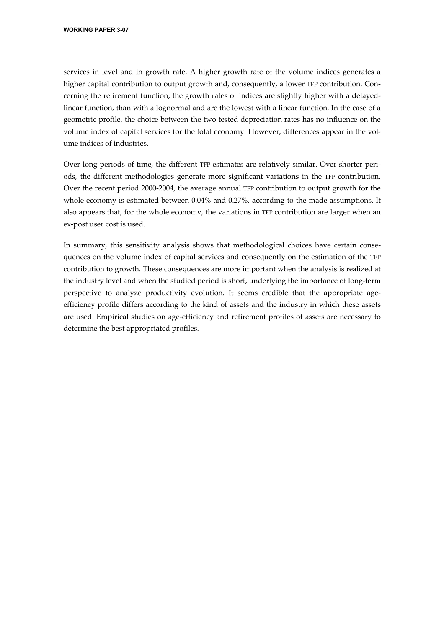services in level and in growth rate. A higher growth rate of the volume indices generates a higher capital contribution to output growth and, consequently, a lower TFP contribution. Concerning the retirement function, the growth rates of indices are slightly higher with a delayedlinear function, than with a lognormal and are the lowest with a linear function. In the case of a geometric profile, the choice between the two tested depreciation rates has no influence on the volume index of capital services for the total economy. However, differences appear in the volume indices of industries.

Over long periods of time, the different TFP estimates are relatively similar. Over shorter periods, the different methodologies generate more significant variations in the TFP contribution. Over the recent period 2000-2004, the average annual TFP contribution to output growth for the whole economy is estimated between 0.04% and 0.27%, according to the made assumptions. It also appears that, for the whole economy, the variations in TFP contribution are larger when an ex-post user cost is used.

In summary, this sensitivity analysis shows that methodological choices have certain consequences on the volume index of capital services and consequently on the estimation of the TFP contribution to growth. These consequences are more important when the analysis is realized at the industry level and when the studied period is short, underlying the importance of long-term perspective to analyze productivity evolution. It seems credible that the appropriate ageefficiency profile differs according to the kind of assets and the industry in which these assets are used. Empirical studies on age-efficiency and retirement profiles of assets are necessary to determine the best appropriated profiles.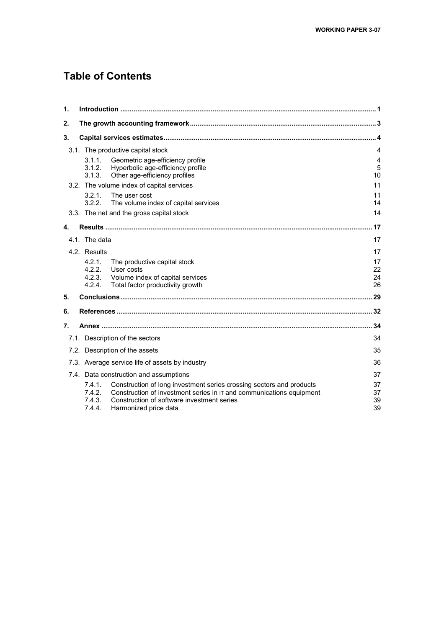## **Table of Contents**

| $\mathbf 1$ |                                      |                                                                                                                                                                                                                       |                      |
|-------------|--------------------------------------|-----------------------------------------------------------------------------------------------------------------------------------------------------------------------------------------------------------------------|----------------------|
| 2.          |                                      |                                                                                                                                                                                                                       |                      |
| 3.          |                                      |                                                                                                                                                                                                                       |                      |
|             |                                      | 3.1. The productive capital stock                                                                                                                                                                                     | 4                    |
|             | 3.1.1.<br>3.1.2.<br>3.1.3.           | Geometric age-efficiency profile<br>Hyperbolic age-efficiency profile<br>Other age-efficiency profiles                                                                                                                | 4<br>5<br>10         |
|             |                                      | 3.2. The volume index of capital services                                                                                                                                                                             | 11                   |
|             | 3.2.1.<br>3.2.2.                     | The user cost<br>The volume index of capital services                                                                                                                                                                 | 11<br>14             |
|             |                                      | 3.3. The net and the gross capital stock                                                                                                                                                                              | 14                   |
| 4.          |                                      |                                                                                                                                                                                                                       | 17                   |
|             | 4.1. The data                        |                                                                                                                                                                                                                       | 17                   |
|             | 4.2. Results                         |                                                                                                                                                                                                                       | 17                   |
|             | 4.2.1.<br>4.2.2.<br>4.2.3.<br>4.2.4. | The productive capital stock<br>User costs<br>Volume index of capital services<br>Total factor productivity growth                                                                                                    | 17<br>22<br>24<br>26 |
| 5.          |                                      |                                                                                                                                                                                                                       |                      |
| 6.          |                                      |                                                                                                                                                                                                                       |                      |
| 7.          |                                      |                                                                                                                                                                                                                       | 34                   |
|             |                                      | 7.1. Description of the sectors                                                                                                                                                                                       | 34                   |
|             |                                      | 7.2. Description of the assets                                                                                                                                                                                        | 35                   |
|             |                                      | 7.3. Average service life of assets by industry                                                                                                                                                                       | 36                   |
|             |                                      | 7.4. Data construction and assumptions                                                                                                                                                                                | 37                   |
|             | 7.4.1.<br>7.4.2<br>7.4.3.<br>7.4.4.  | Construction of long investment series crossing sectors and products<br>Construction of investment series in $IT$ and communications equipment<br>Construction of software investment series<br>Harmonized price data | 37<br>37<br>39<br>39 |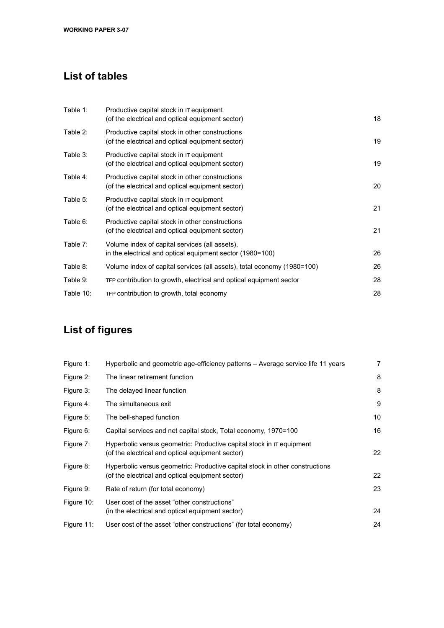## **List of tables**

| Table 1:  | Productive capital stock in IT equipment<br>(of the electrical and optical equipment sector)                | 18 |
|-----------|-------------------------------------------------------------------------------------------------------------|----|
| Table 2:  | Productive capital stock in other constructions<br>(of the electrical and optical equipment sector)         | 19 |
| Table 3:  | Productive capital stock in IT equipment<br>(of the electrical and optical equipment sector)                | 19 |
| Table 4:  | Productive capital stock in other constructions<br>(of the electrical and optical equipment sector)         | 20 |
| Table 5:  | Productive capital stock in IT equipment<br>(of the electrical and optical equipment sector)                | 21 |
| Table 6:  | Productive capital stock in other constructions<br>(of the electrical and optical equipment sector)         | 21 |
| Table 7:  | Volume index of capital services (all assets),<br>in the electrical and optical equipment sector (1980=100) | 26 |
| Table 8:  | Volume index of capital services (all assets), total economy (1980=100)                                     | 26 |
| Table 9:  | TFP contribution to growth, electrical and optical equipment sector                                         | 28 |
| Table 10: | TFP contribution to growth, total economy                                                                   | 28 |

# **List of figures**

| Figure 1:  | Hyperbolic and geometric age-efficiency patterns – Average service life 11 years                                                 | 7  |
|------------|----------------------------------------------------------------------------------------------------------------------------------|----|
| Figure 2:  | The linear retirement function                                                                                                   | 8  |
| Figure 3:  | The delayed linear function                                                                                                      | 8  |
| Figure 4:  | The simultaneous exit                                                                                                            | 9  |
| Figure 5:  | The bell-shaped function                                                                                                         | 10 |
| Figure 6:  | Capital services and net capital stock, Total economy, 1970=100                                                                  | 16 |
| Figure 7:  | Hyperbolic versus geometric: Productive capital stock in $\sigma$ equipment<br>(of the electrical and optical equipment sector)  | 22 |
| Figure 8:  | Hyperbolic versus geometric: Productive capital stock in other constructions<br>(of the electrical and optical equipment sector) | 22 |
| Figure 9:  | Rate of return (for total economy)                                                                                               | 23 |
| Figure 10: | User cost of the asset "other constructions"<br>(in the electrical and optical equipment sector)                                 | 24 |
| Figure 11: | User cost of the asset "other constructions" (for total economy)                                                                 | 24 |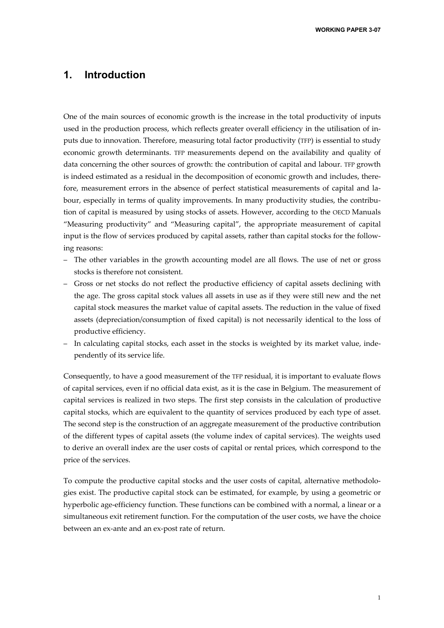**WORKING PAPER 3-07** 

## **1. Introduction**

One of the main sources of economic growth is the increase in the total productivity of inputs used in the production process, which reflects greater overall efficiency in the utilisation of inputs due to innovation. Therefore, measuring total factor productivity (TFP) is essential to study economic growth determinants. TFP measurements depend on the availability and quality of data concerning the other sources of growth: the contribution of capital and labour. TFP growth is indeed estimated as a residual in the decomposition of economic growth and includes, therefore, measurement errors in the absence of perfect statistical measurements of capital and labour, especially in terms of quality improvements. In many productivity studies, the contribution of capital is measured by using stocks of assets. However, according to the OECD Manuals "Measuring productivity" and "Measuring capital", the appropriate measurement of capital input is the flow of services produced by capital assets, rather than capital stocks for the following reasons:

- The other variables in the growth accounting model are all flows. The use of net or gross stocks is therefore not consistent.
- Gross or net stocks do not reflect the productive efficiency of capital assets declining with the age. The gross capital stock values all assets in use as if they were still new and the net capital stock measures the market value of capital assets. The reduction in the value of fixed assets (depreciation/consumption of fixed capital) is not necessarily identical to the loss of productive efficiency.
- In calculating capital stocks, each asset in the stocks is weighted by its market value, independently of its service life.

Consequently, to have a good measurement of the TFP residual, it is important to evaluate flows of capital services, even if no official data exist, as it is the case in Belgium. The measurement of capital services is realized in two steps. The first step consists in the calculation of productive capital stocks, which are equivalent to the quantity of services produced by each type of asset. The second step is the construction of an aggregate measurement of the productive contribution of the different types of capital assets (the volume index of capital services). The weights used to derive an overall index are the user costs of capital or rental prices, which correspond to the price of the services.

To compute the productive capital stocks and the user costs of capital, alternative methodologies exist. The productive capital stock can be estimated, for example, by using a geometric or hyperbolic age-efficiency function. These functions can be combined with a normal, a linear or a simultaneous exit retirement function. For the computation of the user costs, we have the choice between an ex-ante and an ex-post rate of return.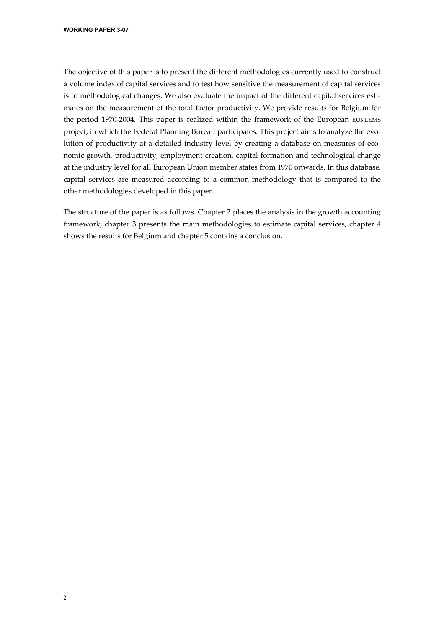The objective of this paper is to present the different methodologies currently used to construct a volume index of capital services and to test how sensitive the measurement of capital services is to methodological changes. We also evaluate the impact of the different capital services estimates on the measurement of the total factor productivity. We provide results for Belgium for the period 1970-2004. This paper is realized within the framework of the European EUKLEMS project, in which the Federal Planning Bureau participates. This project aims to analyze the evolution of productivity at a detailed industry level by creating a database on measures of economic growth, productivity, employment creation, capital formation and technological change at the industry level for all European Union member states from 1970 onwards. In this database, capital services are measured according to a common methodology that is compared to the other methodologies developed in this paper.

The structure of the paper is as follows. Chapter 2 places the analysis in the growth accounting framework, chapter 3 presents the main methodologies to estimate capital services, chapter 4 shows the results for Belgium and chapter 5 contains a conclusion.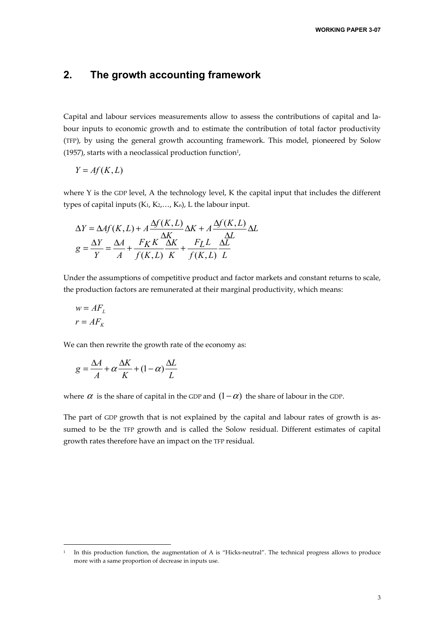## **2. The growth accounting framework**

Capital and labour services measurements allow to assess the contributions of capital and labour inputs to economic growth and to estimate the contribution of total factor productivity (TFP), by using the general growth accounting framework. This model, pioneered by Solow (1957), starts with a neoclassical production function $1$ ,

$$
Y = Af(K, L)
$$

where Y is the GDP level, A the technology level, K the capital input that includes the different types of capital inputs  $(K_1, K_2, \ldots, K_n)$ , L the labour input.

$$
\Delta Y = \Delta Af(K, L) + A \frac{\Delta f(K, L)}{\Delta K} \Delta K + A \frac{\Delta f(K, L)}{\Delta L} \Delta L
$$

$$
g = \frac{\Delta Y}{Y} = \frac{\Delta A}{A} + \frac{F_K K}{f(K, L)} \frac{\Delta K}{K} + \frac{F_L L}{f(K, L)} \frac{\Delta L}{L}
$$

Under the assumptions of competitive product and factor markets and constant returns to scale, the production factors are remunerated at their marginal productivity, which means:

$$
w = AF_L
$$

$$
r = AF_K
$$

j

We can then rewrite the growth rate of the economy as:

$$
g = \frac{\Delta A}{A} + \alpha \frac{\Delta K}{K} + (1 - \alpha) \frac{\Delta L}{L}
$$

where  $\alpha$  is the share of capital in the GDP and  $(1-\alpha)$  the share of labour in the GDP.

The part of GDP growth that is not explained by the capital and labour rates of growth is assumed to be the TFP growth and is called the Solow residual. Different estimates of capital growth rates therefore have an impact on the TFP residual.

In this production function, the augmentation of A is "Hicks-neutral". The technical progress allows to produce more with a same proportion of decrease in inputs use.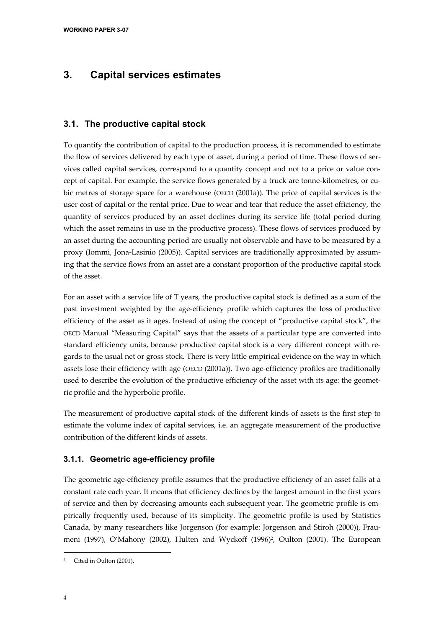## **3. Capital services estimates**

### **3.1. The productive capital stock**

To quantify the contribution of capital to the production process, it is recommended to estimate the flow of services delivered by each type of asset, during a period of time. These flows of services called capital services, correspond to a quantity concept and not to a price or value concept of capital. For example, the service flows generated by a truck are tonne-kilometres, or cubic metres of storage space for a warehouse (OECD (2001a)). The price of capital services is the user cost of capital or the rental price. Due to wear and tear that reduce the asset efficiency, the quantity of services produced by an asset declines during its service life (total period during which the asset remains in use in the productive process). These flows of services produced by an asset during the accounting period are usually not observable and have to be measured by a proxy (Iommi, Jona-Lasinio (2005)). Capital services are traditionally approximated by assuming that the service flows from an asset are a constant proportion of the productive capital stock of the asset.

For an asset with a service life of T years, the productive capital stock is defined as a sum of the past investment weighted by the age-efficiency profile which captures the loss of productive efficiency of the asset as it ages. Instead of using the concept of "productive capital stock", the OECD Manual "Measuring Capital" says that the assets of a particular type are converted into standard efficiency units, because productive capital stock is a very different concept with regards to the usual net or gross stock. There is very little empirical evidence on the way in which assets lose their efficiency with age (OECD (2001a)). Two age-efficiency profiles are traditionally used to describe the evolution of the productive efficiency of the asset with its age: the geometric profile and the hyperbolic profile.

The measurement of productive capital stock of the different kinds of assets is the first step to estimate the volume index of capital services, i.e. an aggregate measurement of the productive contribution of the different kinds of assets.

#### **3.1.1. Geometric age-efficiency profile**

The geometric age-efficiency profile assumes that the productive efficiency of an asset falls at a constant rate each year. It means that efficiency declines by the largest amount in the first years of service and then by decreasing amounts each subsequent year. The geometric profile is empirically frequently used, because of its simplicity. The geometric profile is used by Statistics Canada, by many researchers like Jorgenson (for example: Jorgenson and Stiroh (2000)), Fraumeni (1997), O'Mahony (2002), Hulten and Wyckoff (1996)<sup>2</sup>, Oulton (2001). The European

-

<sup>2</sup> Cited in Oulton (2001).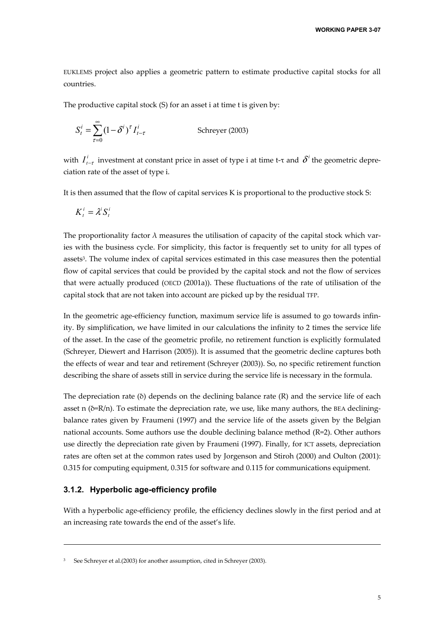EUKLEMS project also applies a geometric pattern to estimate productive capital stocks for all countries.

The productive capital stock (S) for an asset i at time t is given by:

$$
S_t^i = \sum_{\tau=0}^{\infty} (1 - \delta^i)^{\tau} I_{t-\tau}^i
$$
 Schreyer (2003)

with  $I_{t-\tau}^i$  investment at constant price in asset of type i at time t-τ and  $\delta^i$  the geometric depreciation rate of the asset of type i.

It is then assumed that the flow of capital services K is proportional to the productive stock S:

$$
K_t^i = \lambda^i S_t^i
$$

The proportionality factor  $\lambda$  measures the utilisation of capacity of the capital stock which varies with the business cycle. For simplicity, this factor is frequently set to unity for all types of assets3. The volume index of capital services estimated in this case measures then the potential flow of capital services that could be provided by the capital stock and not the flow of services that were actually produced (OECD (2001a)). These fluctuations of the rate of utilisation of the capital stock that are not taken into account are picked up by the residual TFP.

In the geometric age-efficiency function, maximum service life is assumed to go towards infinity. By simplification, we have limited in our calculations the infinity to 2 times the service life of the asset. In the case of the geometric profile, no retirement function is explicitly formulated (Schreyer, Diewert and Harrison (2005)). It is assumed that the geometric decline captures both the effects of wear and tear and retirement (Schreyer (2003)). So, no specific retirement function describing the share of assets still in service during the service life is necessary in the formula.

The depreciation rate  $(\delta)$  depends on the declining balance rate  $(R)$  and the service life of each asset n ( $\delta = R/n$ ). To estimate the depreciation rate, we use, like many authors, the BEA decliningbalance rates given by Fraumeni (1997) and the service life of the assets given by the Belgian national accounts. Some authors use the double declining balance method (R=2). Other authors use directly the depreciation rate given by Fraumeni (1997). Finally, for ICT assets, depreciation rates are often set at the common rates used by Jorgenson and Stiroh (2000) and Oulton (2001): 0.315 for computing equipment, 0.315 for software and 0.115 for communications equipment.

#### **3.1.2. Hyperbolic age-efficiency profile**

-

With a hyperbolic age-efficiency profile, the efficiency declines slowly in the first period and at an increasing rate towards the end of the asset's life.

<sup>3</sup> See Schreyer et al.(2003) for another assumption, cited in Schreyer (2003).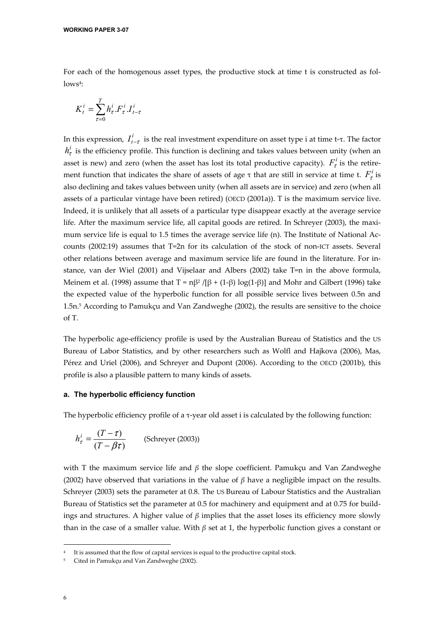For each of the homogenous asset types, the productive stock at time t is constructed as fol $lows<sup>4</sup>$ :

$$
K_t^i = \sum_{\tau=0}^T h_\tau^i.F_\tau^i.I_{t-\tau}^i
$$

In this expression,  $I_{t-\tau}^i$  is the real investment expenditure on asset type i at time t-τ. The factor  $h_{\tau}$  is the efficiency profile. This function is declining and takes values between unity (when an asset is new) and zero (when the asset has lost its total productive capacity).  $F_{\tau}^{i}$  is the retirement function that indicates the share of assets of age  $\tau$  that are still in service at time t.  $F_{\tau}^{t}$  is also declining and takes values between unity (when all assets are in service) and zero (when all assets of a particular vintage have been retired) (OECD (2001a)). T is the maximum service live. Indeed, it is unlikely that all assets of a particular type disappear exactly at the average service life. After the maximum service life, all capital goods are retired. In Schreyer (2003), the maximum service life is equal to 1.5 times the average service life (n). The Institute of National Accounts (2002:19) assumes that T=2n for its calculation of the stock of non-ICT assets. Several other relations between average and maximum service life are found in the literature. For instance, van der Wiel (2001) and Vijselaar and Albers (2002) take T=n in the above formula, Meinem et al. (1998) assume that  $T = n\beta^2/[\beta + (1-\beta) \log(1-\beta)]$  and Mohr and Gilbert (1996) take the expected value of the hyperbolic function for all possible service lives between 0.5n and 1.5n.5 According to Pamukçu and Van Zandweghe (2002), the results are sensitive to the choice of T.

The hyperbolic age-efficiency profile is used by the Australian Bureau of Statistics and the US Bureau of Labor Statistics, and by other researchers such as Wolfl and Hajkova (2006), Mas, Pérez and Uriel (2006), and Schreyer and Dupont (2006). According to the OECD (2001b), this profile is also a plausible pattern to many kinds of assets.

#### **a. The hyperbolic efficiency function**

The hyperbolic efficiency profile of a τ-year old asset i is calculated by the following function:

$$
h_{\tau}^{i} = \frac{(T - \tau)}{(T - \beta \tau)}
$$
 (Schreyer (2003))

with T the maximum service life and *β* the slope coefficient. Pamukçu and Van Zandweghe (2002) have observed that variations in the value of  $\beta$  have a negligible impact on the results. Schreyer (2003) sets the parameter at 0.8. The US Bureau of Labour Statistics and the Australian Bureau of Statistics set the parameter at 0.5 for machinery and equipment and at 0.75 for buildings and structures. A higher value of *β* implies that the asset loses its efficiency more slowly than in the case of a smaller value. With *β* set at 1, the hyperbolic function gives a constant or

j

It is assumed that the flow of capital services is equal to the productive capital stock.

<sup>5</sup> Cited in Pamukçu and Van Zandweghe (2002).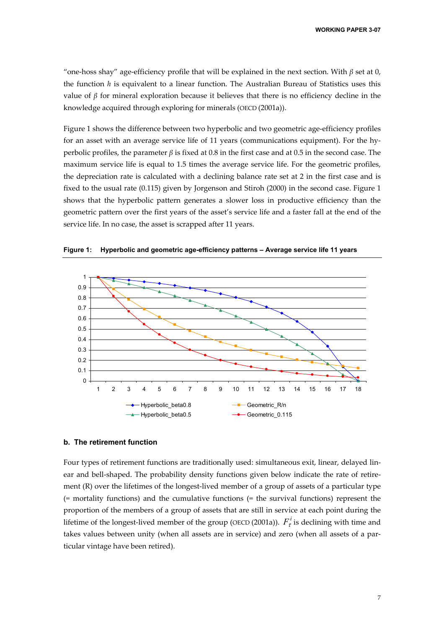"one-hoss shay" age-efficiency profile that will be explained in the next section. With  $\beta$  set at 0, the function *h* is equivalent to a linear function. The Australian Bureau of Statistics uses this value of *β* for mineral exploration because it believes that there is no efficiency decline in the knowledge acquired through exploring for minerals (OECD (2001a)).

Figure 1 shows the difference between two hyperbolic and two geometric age-efficiency profiles for an asset with an average service life of 11 years (communications equipment). For the hyperbolic profiles, the parameter *β* is fixed at 0.8 in the first case and at 0.5 in the second case. The maximum service life is equal to 1.5 times the average service life. For the geometric profiles, the depreciation rate is calculated with a declining balance rate set at 2 in the first case and is fixed to the usual rate (0.115) given by Jorgenson and Stiroh (2000) in the second case. Figure 1 shows that the hyperbolic pattern generates a slower loss in productive efficiency than the geometric pattern over the first years of the asset's service life and a faster fall at the end of the service life. In no case, the asset is scrapped after 11 years.



**Figure 1: Hyperbolic and geometric age-efficiency patterns – Average service life 11 years** 

#### **b. The retirement function**

Four types of retirement functions are traditionally used: simultaneous exit, linear, delayed linear and bell-shaped. The probability density functions given below indicate the rate of retirement (R) over the lifetimes of the longest-lived member of a group of assets of a particular type (= mortality functions) and the cumulative functions (= the survival functions) represent the proportion of the members of a group of assets that are still in service at each point during the lifetime of the longest-lived member of the group (OECD (2001a)).  $F_{\tau}^{i}$  is declining with time and takes values between unity (when all assets are in service) and zero (when all assets of a particular vintage have been retired).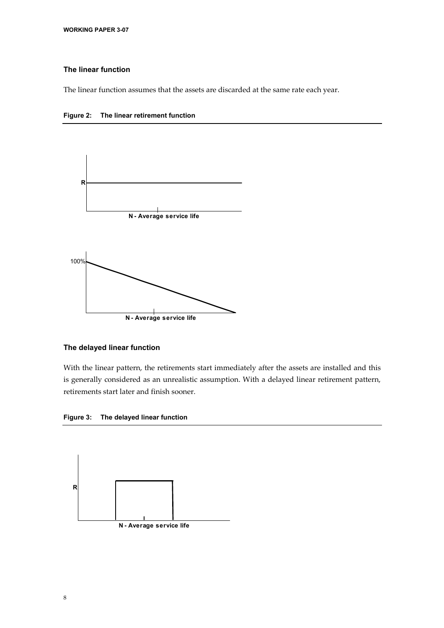#### **The linear function**

The linear function assumes that the assets are discarded at the same rate each year.





#### **The delayed linear function**

With the linear pattern, the retirements start immediately after the assets are installed and this is generally considered as an unrealistic assumption. With a delayed linear retirement pattern, retirements start later and finish sooner.

**Figure 3: The delayed linear function** 

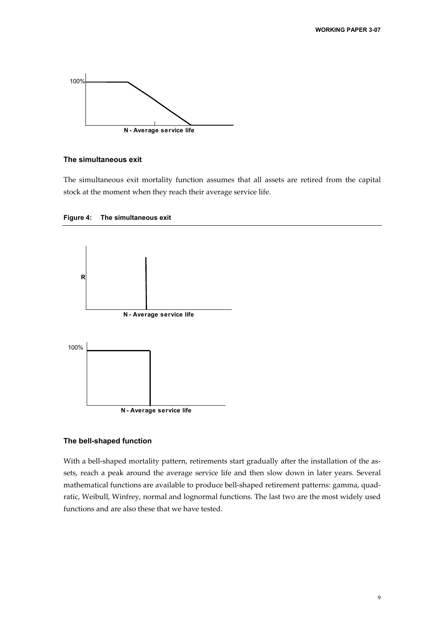

#### **The simultaneous exit**

The simultaneous exit mortality function assumes that all assets are retired from the capital stock at the moment when they reach their average service life.





#### **The bell-shaped function**

With a bell-shaped mortality pattern, retirements start gradually after the installation of the assets, reach a peak around the average service life and then slow down in later years. Several mathematical functions are available to produce bell-shaped retirement patterns: gamma, quadratic, Weibull, Winfrey, normal and lognormal functions. The last two are the most widely used functions and are also these that we have tested.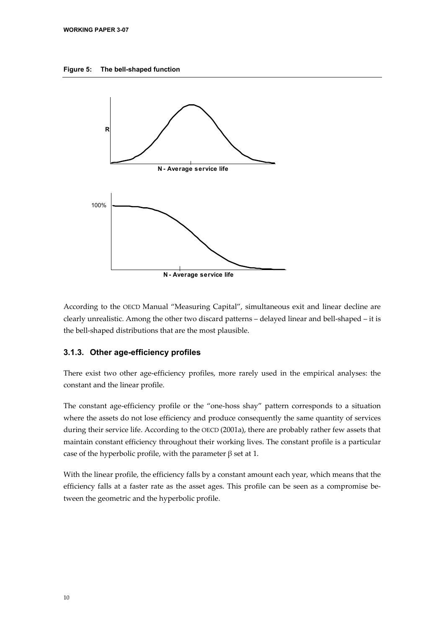



According to the OECD Manual "Measuring Capital", simultaneous exit and linear decline are clearly unrealistic. Among the other two discard patterns – delayed linear and bell-shaped – it is the bell-shaped distributions that are the most plausible.

#### **3.1.3. Other age-efficiency profiles**

There exist two other age-efficiency profiles, more rarely used in the empirical analyses: the constant and the linear profile.

The constant age-efficiency profile or the "one-hoss shay" pattern corresponds to a situation where the assets do not lose efficiency and produce consequently the same quantity of services during their service life. According to the OECD (2001a), there are probably rather few assets that maintain constant efficiency throughout their working lives. The constant profile is a particular case of the hyperbolic profile, with the parameter β set at 1.

With the linear profile, the efficiency falls by a constant amount each year, which means that the efficiency falls at a faster rate as the asset ages. This profile can be seen as a compromise between the geometric and the hyperbolic profile.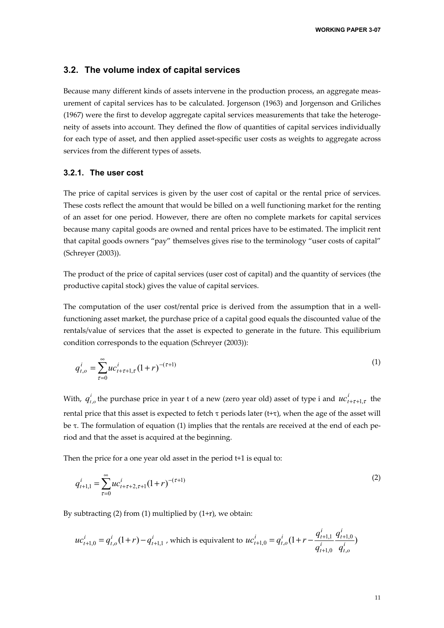#### **3.2. The volume index of capital services**

Because many different kinds of assets intervene in the production process, an aggregate measurement of capital services has to be calculated. Jorgenson (1963) and Jorgenson and Griliches (1967) were the first to develop aggregate capital services measurements that take the heterogeneity of assets into account. They defined the flow of quantities of capital services individually for each type of asset, and then applied asset-specific user costs as weights to aggregate across services from the different types of assets.

#### **3.2.1. The user cost**

The price of capital services is given by the user cost of capital or the rental price of services. These costs reflect the amount that would be billed on a well functioning market for the renting of an asset for one period. However, there are often no complete markets for capital services because many capital goods are owned and rental prices have to be estimated. The implicit rent that capital goods owners "pay" themselves gives rise to the terminology "user costs of capital" (Schreyer (2003)).

The product of the price of capital services (user cost of capital) and the quantity of services (the productive capital stock) gives the value of capital services.

The computation of the user cost/rental price is derived from the assumption that in a wellfunctioning asset market, the purchase price of a capital good equals the discounted value of the rentals/value of services that the asset is expected to generate in the future. This equilibrium condition corresponds to the equation (Schreyer (2003)):

$$
q_{t,o}^i = \sum_{\tau=0}^{\infty} u c_{t+\tau+1,\tau}^i (1+r)^{-(\tau+1)}
$$
 (1)

With,  $q_{t,o}^i$  the purchase price in year t of a new (zero year old) asset of type i and  $uc_{t+\tau+1,\tau}^i$  the rental price that this asset is expected to fetch  $\tau$  periods later (t+ $\tau$ ), when the age of the asset will be τ. The formulation of equation (1) implies that the rentals are received at the end of each period and that the asset is acquired at the beginning.

Then the price for a one year old asset in the period t+1 is equal to:

$$
q_{t+1,1}^i = \sum_{\tau=0}^{\infty} u c_{t+\tau+2,\tau+1}^i (1+r)^{-(\tau+1)}
$$
 (2)

By subtracting  $(2)$  from  $(1)$  multiplied by  $(1+r)$ , we obtain:

$$
uc_{t+1,0}^i = q_{t,o}^i(1+r) - q_{t+1,1}^i
$$
, which is equivalent to 
$$
uc_{t+1,0}^i = q_{t,o}^i(1+r - \frac{q_{t+1,1}^i}{q_{t+1,0}^i} \frac{q_{t+1,0}^i}{q_{t,o}^i})
$$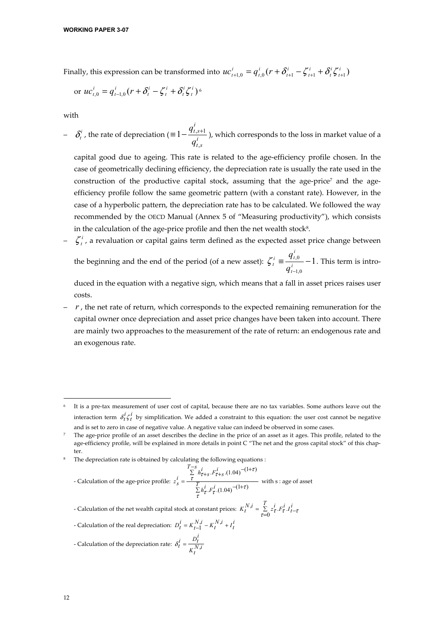Finally, this expression can be transformed into  $uc_{t+1,0}^i = q_{t,0}^i (r + \delta_{t+1}^i - \zeta_{t+1}^i + \delta_t^i \zeta_{t+1}^i)$ *t i t i t i t i t*  $uc_{t+1,0}^i = q_{t,0}^i (r + \delta_{t+1}^i - \zeta_{t+1}^i + \delta_t^i \zeta_{t+1}^i)$ 

or 
$$
uc_{t,0}^i = q_{t-1,0}^i (r + \delta_t^i - \zeta_t^i + \delta_t^i \zeta_t^i)^6
$$

with

 $\delta_t^i$ , the rate of depreciation ( $\equiv 1 - \frac{q_{t,i}}{q_i}$ *t s i t s q q* ,  $\equiv 1 - \frac{q_{t,s+1}}{q}$ , which corresponds to the loss in market value of a

capital good due to ageing. This rate is related to the age-efficiency profile chosen. In the case of geometrically declining efficiency, the depreciation rate is usually the rate used in the construction of the productive capital stock, assuming that the age-price7 and the ageefficiency profile follow the same geometric pattern (with a constant rate). However, in the case of a hyperbolic pattern, the depreciation rate has to be calculated. We followed the way recommended by the OECD Manual (Annex 5 of "Measuring productivity"), which consists in the calculation of the age-price profile and then the net wealth stock<sup>8</sup>.

 $\zeta_t^i$ , a revaluation or capital gains term defined as the expected asset price change between

the beginning and the end of the period (of a new asset):  $\zeta_i^i \equiv \frac{q_{t,0}}{q_i^i} - 1$ 1,0 − *t i*  $i = \frac{q_t}{t}$  $^{t}$   $^{-}$   $q$  $\zeta_t^i \equiv \frac{q_{t,0}^i}{i} - 1$ . This term is intro-

duced in the equation with a negative sign, which means that a fall in asset prices raises user costs.

 $r$ , the net rate of return, which corresponds to the expected remaining remuneration for the capital owner once depreciation and asset price changes have been taken into account. There are mainly two approaches to the measurement of the rate of return: an endogenous rate and an exogenous rate.

The depreciation rate is obtained by calculating the following equations :

- Calculation of the age-price profile:  $z_s^* = -\frac{r}{\sum h_\tau^i F_\tau^i (1.04)}$  -  $(1 +$  $\sum_{i=1}^{T-S} h_{\tau+s}^i \cdot F_{\tau+s}^i$  (1.04)<sup>-(1+</sup>  $=\frac{1}{\sum_{i}^{T} h_{\tau}^{i} \cdot F_{\tau}^{i}}$  $z_s^i = \frac{\sum\limits_{\tau=0}^{T-s} h_{\tau+s}^i \cdot F_{\tau+s}^i}{T}$ τ  $h^l_{\tau} F^l_{\tau}$ .(1.04)<sup>-(1+ $\tau$ </sup> τ  $r^l_{\tau+s}$   $F^l_{\tau+s}$  (1.04)<sup>-(1+ $\tau$ </sup>)  $F_{\tau}^{i}$  .(1.04)<sup>-(1+ $\tau$ )</sup>  $F_{\tau+s}^i$  . (1.04)<sup> $-(1+\tau)$ </sup> with s : age of asset

- Calculation of the net wealth capital stock at constant prices:  $K_t^{N,i} = \sum_{\tau=0}^{T} z_{\tau}^i F_{\tau}^i J_{t-\tau}^i$ - Calculation of the real depreciation:  $D_t^i = K_{t-1}^{N,i} - K_t^{N,i} + I_t^i$ - Calculation of the depreciation rate:  $\delta_t^* = \frac{N}{K_t^N}$  $\delta_t^i = \frac{D_t^i}{N}$ 

-

It is a pre-tax measurement of user cost of capital, because there are no tax variables. Some authors leave out the interaction term  $\delta_t^i \zeta_t^i$  by simplification. We added a constraint to this equation: the user cost cannot be negative and is set to zero in case of negative value. A negative value can indeed be observed in some cases.

<sup>7</sup> The age-price profile of an asset describes the decline in the price of an asset as it ages. This profile, related to the age-efficiency profile, will be explained in more details in point C "The net and the gross capital stock" of this chapter.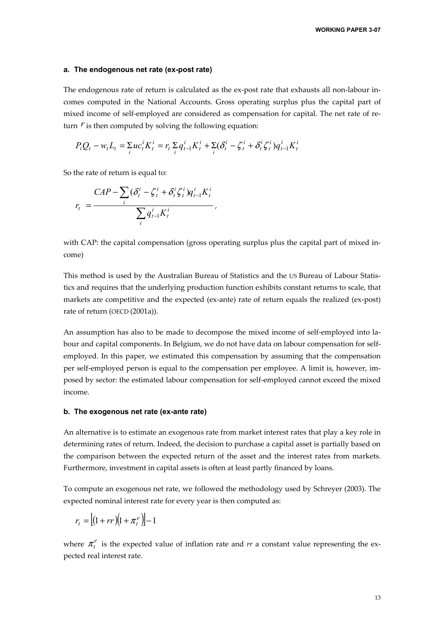#### **a. The endogenous net rate (ex-post rate)**

The endogenous rate of return is calculated as the ex-post rate that exhausts all non-labour incomes computed in the National Accounts. Gross operating surplus plus the capital part of mixed income of self-employed are considered as compensation for capital. The net rate of return  *is then computed by solving the following equation:* 

$$
P_t Q_t - w_t L_t = \sum_i u c_t^i K_t^i = r_t \sum_i q_{t-1}^i K_t^i + \sum_i (\delta_t^i - \zeta_t^i + \delta_t^i \zeta_t^i) q_{t-1}^i K_t^i
$$

So the rate of return is equal to:

$$
r_t = \frac{CAP - \sum_i (\delta_t^i - \zeta_t^i + \delta_t^i \zeta_t^i) q_{t-1}^i K_t^i}{\sum_i q_{t-1}^i K_t^i},
$$

with CAP: the capital compensation (gross operating surplus plus the capital part of mixed income)

This method is used by the Australian Bureau of Statistics and the US Bureau of Labour Statistics and requires that the underlying production function exhibits constant returns to scale, that markets are competitive and the expected (ex-ante) rate of return equals the realized (ex-post) rate of return (OECD (2001a)).

An assumption has also to be made to decompose the mixed income of self-employed into labour and capital components. In Belgium, we do not have data on labour compensation for selfemployed. In this paper, we estimated this compensation by assuming that the compensation per self-employed person is equal to the compensation per employee. A limit is, however, imposed by sector: the estimated labour compensation for self-employed cannot exceed the mixed income.

#### **b. The exogenous net rate (ex-ante rate)**

An alternative is to estimate an exogenous rate from market interest rates that play a key role in determining rates of return. Indeed, the decision to purchase a capital asset is partially based on the comparison between the expected return of the asset and the interest rates from markets. Furthermore, investment in capital assets is often at least partly financed by loans.

To compute an exogenous net rate, we followed the methodology used by Schreyer (2003). The expected nominal interest rate for every year is then computed as:

$$
r_t = \left[ (1 + rr)\left(1 + \pi_t^e\right) \right] - 1
$$

where  $\pi_t^e$  is the expected value of inflation rate and  $rr$  a constant value representing the expected real interest rate.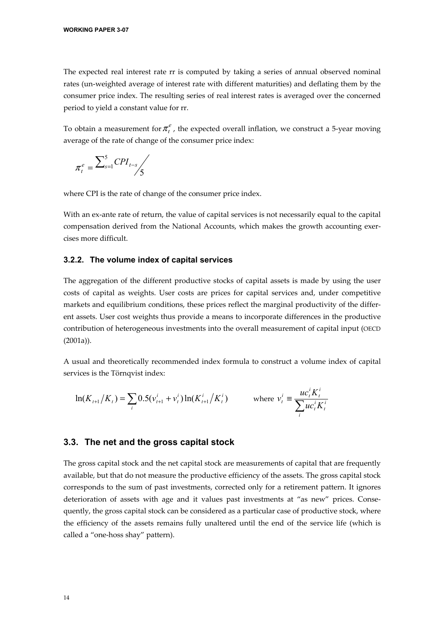The expected real interest rate rr is computed by taking a series of annual observed nominal rates (un-weighted average of interest rate with different maturities) and deflating them by the consumer price index. The resulting series of real interest rates is averaged over the concerned period to yield a constant value for rr.

To obtain a measurement for  $\pi$ <sup>e</sup>, the expected overall inflation, we construct a 5-year moving average of the rate of change of the consumer price index:

$$
\pi_t^e = \frac{\sum_{s=1}^5 CPI_{t-s}}{5}
$$

where CPI is the rate of change of the consumer price index.

With an ex-ante rate of return, the value of capital services is not necessarily equal to the capital compensation derived from the National Accounts, which makes the growth accounting exercises more difficult.

#### **3.2.2. The volume index of capital services**

The aggregation of the different productive stocks of capital assets is made by using the user costs of capital as weights. User costs are prices for capital services and, under competitive markets and equilibrium conditions, these prices reflect the marginal productivity of the different assets. User cost weights thus provide a means to incorporate differences in the productive contribution of heterogeneous investments into the overall measurement of capital input (OECD (2001a)).

A usual and theoretically recommended index formula to construct a volume index of capital services is the Törnqvist index:

$$
\ln(K_{t+1}/K_t) = \sum_i 0.5(v_{t+1}^i + v_t^i) \ln(K_{t+1}^i / K_t^i) \qquad \text{where } v_t^i \equiv \frac{uc_t^i K_t^i}{\sum_i u c_t^i K_t^i}
$$

#### **3.3. The net and the gross capital stock**

The gross capital stock and the net capital stock are measurements of capital that are frequently available, but that do not measure the productive efficiency of the assets. The gross capital stock corresponds to the sum of past investments, corrected only for a retirement pattern. It ignores deterioration of assets with age and it values past investments at "as new" prices. Consequently, the gross capital stock can be considered as a particular case of productive stock, where the efficiency of the assets remains fully unaltered until the end of the service life (which is called a "one-hoss shay" pattern).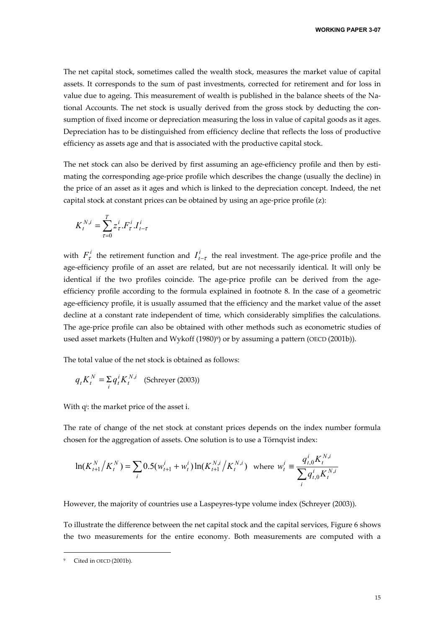The net capital stock, sometimes called the wealth stock, measures the market value of capital assets. It corresponds to the sum of past investments, corrected for retirement and for loss in value due to ageing. This measurement of wealth is published in the balance sheets of the National Accounts. The net stock is usually derived from the gross stock by deducting the consumption of fixed income or depreciation measuring the loss in value of capital goods as it ages. Depreciation has to be distinguished from efficiency decline that reflects the loss of productive efficiency as assets age and that is associated with the productive capital stock.

The net stock can also be derived by first assuming an age-efficiency profile and then by estimating the corresponding age-price profile which describes the change (usually the decline) in the price of an asset as it ages and which is linked to the depreciation concept. Indeed, the net capital stock at constant prices can be obtained by using an age-price profile (z):

$$
K_t^{N,i} = \sum_{\tau=0}^T z_\tau^i.F_\tau^i.I_{t-\tau}^i
$$

with  $F^i_\tau$  the retirement function and  $I^i_{t-\tau}$  the real investment. The age-price profile and the age-efficiency profile of an asset are related, but are not necessarily identical. It will only be identical if the two profiles coincide. The age-price profile can be derived from the ageefficiency profile according to the formula explained in footnote 8. In the case of a geometric age-efficiency profile, it is usually assumed that the efficiency and the market value of the asset decline at a constant rate independent of time, which considerably simplifies the calculations. The age-price profile can also be obtained with other methods such as econometric studies of used asset markets (Hulten and Wykoff (1980)9) or by assuming a pattern (OECD (2001b)).

The total value of the net stock is obtained as follows:

$$
q_t K_t^N = \sum_i q_t^i K_t^{N,i}
$$
 (Schreyer (2003))

With q<sup>i</sup>: the market price of the asset i.

The rate of change of the net stock at constant prices depends on the index number formula chosen for the aggregation of assets. One solution is to use a Törnqvist index:

$$
\ln(K_{t+1}^N / K_t^N) = \sum_i 0.5(w_{t+1}^i + w_t^i) \ln(K_{t+1}^{N,i} / K_t^{N,i})
$$
 where  $w_t^i \equiv \frac{q_{t,0}^i K_t^{N,i}}{\sum_i q_{t,0}^i K_t^{N,i}}$ 

However, the majority of countries use a Laspeyres-type volume index (Schreyer (2003)).

To illustrate the difference between the net capital stock and the capital services, Figure 6 shows the two measurements for the entire economy. Both measurements are computed with a

-

Cited in OECD (2001b).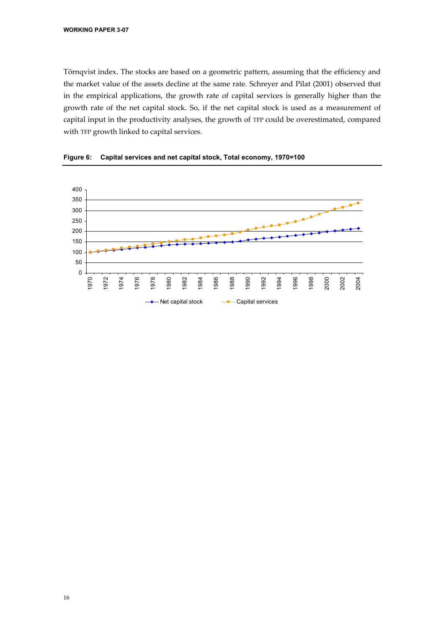Törnqvist index. The stocks are based on a geometric pattern, assuming that the efficiency and the market value of the assets decline at the same rate. Schreyer and Pilat (2001) observed that in the empirical applications, the growth rate of capital services is generally higher than the growth rate of the net capital stock. So, if the net capital stock is used as a measurement of capital input in the productivity analyses, the growth of TFP could be overestimated, compared with TFP growth linked to capital services.



**Figure 6: Capital services and net capital stock, Total economy, 1970=100**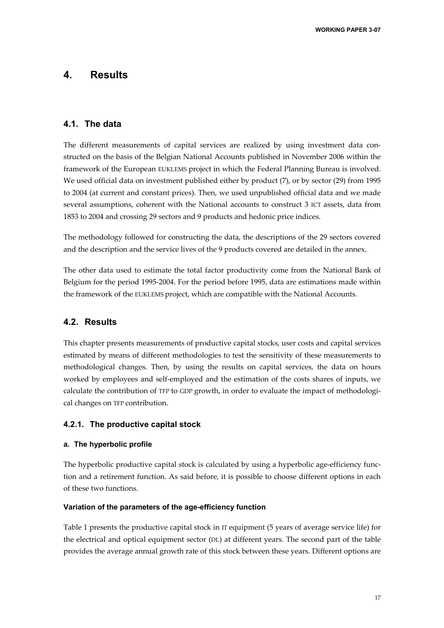### **4. Results**

#### **4.1. The data**

The different measurements of capital services are realized by using investment data constructed on the basis of the Belgian National Accounts published in November 2006 within the framework of the European EUKLEMS project in which the Federal Planning Bureau is involved. We used official data on investment published either by product (7), or by sector (29) from 1995 to 2004 (at current and constant prices). Then, we used unpublished official data and we made several assumptions, coherent with the National accounts to construct 3 ICT assets, data from 1853 to 2004 and crossing 29 sectors and 9 products and hedonic price indices.

The methodology followed for constructing the data, the descriptions of the 29 sectors covered and the description and the service lives of the 9 products covered are detailed in the annex.

The other data used to estimate the total factor productivity come from the National Bank of Belgium for the period 1995-2004. For the period before 1995, data are estimations made within the framework of the EUKLEMS project, which are compatible with the National Accounts.

#### **4.2. Results**

This chapter presents measurements of productive capital stocks, user costs and capital services estimated by means of different methodologies to test the sensitivity of these measurements to methodological changes. Then, by using the results on capital services, the data on hours worked by employees and self-employed and the estimation of the costs shares of inputs, we calculate the contribution of TFP to GDP growth, in order to evaluate the impact of methodological changes on TFP contribution.

#### **4.2.1. The productive capital stock**

#### **a. The hyperbolic profile**

The hyperbolic productive capital stock is calculated by using a hyperbolic age-efficiency function and a retirement function. As said before, it is possible to choose different options in each of these two functions.

#### **Variation of the parameters of the age-efficiency function**

Table 1 presents the productive capital stock in IT equipment (5 years of average service life) for the electrical and optical equipment sector (DL) at different years. The second part of the table provides the average annual growth rate of this stock between these years. Different options are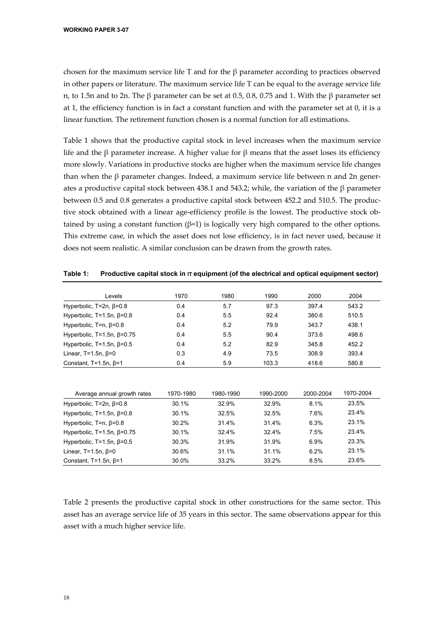chosen for the maximum service life T and for the  $\beta$  parameter according to practices observed in other papers or literature. The maximum service life T can be equal to the average service life n, to 1.5n and to 2n. The β parameter can be set at 0.5, 0.8, 0.75 and 1. With the β parameter set at 1, the efficiency function is in fact a constant function and with the parameter set at 0, it is a linear function. The retirement function chosen is a normal function for all estimations.

Table 1 shows that the productive capital stock in level increases when the maximum service life and the β parameter increase. A higher value for β means that the asset loses its efficiency more slowly. Variations in productive stocks are higher when the maximum service life changes than when the  $\beta$  parameter changes. Indeed, a maximum service life between n and 2n generates a productive capital stock between 438.1 and 543.2; while, the variation of the β parameter between 0.5 and 0.8 generates a productive capital stock between 452.2 and 510.5. The productive stock obtained with a linear age-efficiency profile is the lowest. The productive stock obtained by using a constant function ( $β=1$ ) is logically very high compared to the other options. This extreme case, in which the asset does not lose efficiency, is in fact never used, because it does not seem realistic. A similar conclusion can be drawn from the growth rates.

| Levels                             | 1970 | 1980 | 1990  | 2000  | 2004  |
|------------------------------------|------|------|-------|-------|-------|
| Hyperbolic, $T=2n$ , $\beta=0.8$   | 0.4  | 5.7  | 97.3  | 397.4 | 543.2 |
| Hyperbolic, T=1.5n, $\beta$ =0.8   | 0.4  | 5.5  | 92.4  | 380.6 | 510.5 |
| Hyperbolic, $T=n$ , $\beta=0.8$    | 0.4  | 5.2  | 79.9  | 343.7 | 438.1 |
| Hyperbolic, T=1.5n, $\beta$ =0.75  | 0.4  | 5.5  | 90.4  | 373.6 | 498.6 |
| Hyperbolic, $T=1.5n$ , $\beta=0.5$ | 0.4  | 5.2  | 82.9  | 345.8 | 452.2 |
| Linear, $T=1.5n$ , $\beta=0$       | 0.3  | 4.9  | 73.5  | 308.9 | 393.4 |
| Constant, $T=1.5n$ , $\beta=1$     | 0.4  | 5.9  | 103.3 | 418.6 | 580.8 |

Table 1: Productive capital stock in **IT** equipment (of the electrical and optical equipment sector)

| Average annual growth rates         | 1970-1980 | 1980-1990 | 1990-2000 | 2000-2004 | 1970-2004 |
|-------------------------------------|-----------|-----------|-----------|-----------|-----------|
| Hyperbolic, $T=2n$ , $\beta=0.8$    | 30.1%     | 32.9%     | 32.9%     | 8.1%      | 23.5%     |
| Hyperbolic, $T=1.5n$ , $\beta=0.8$  | 30.1%     | 32.5%     | 32.5%     | 7.6%      | 23.4%     |
| Hyperbolic, $T=n$ , $\beta=0.8$     | 30.2%     | 31.4%     | 31.4%     | 6.3%      | 23.1%     |
| Hyperbolic, $T=1.5n$ , $\beta=0.75$ | 30.1%     | 32.4%     | 32.4%     | 7.5%      | 23.4%     |
| Hyperbolic, $T=1.5n$ , $\beta=0.5$  | 30.3%     | 31.9%     | 31.9%     | 6.9%      | 23.3%     |
| Linear, $T=1.5n$ , $\beta=0$        | 30.6%     | 31.1%     | 31.1%     | 6.2%      | 23.1%     |
| Constant, $T=1.5n$ , $\beta=1$      | 30.0%     | 33.2%     | 33.2%     | 8.5%      | 23.6%     |

Table 2 presents the productive capital stock in other constructions for the same sector. This asset has an average service life of 35 years in this sector. The same observations appear for this asset with a much higher service life.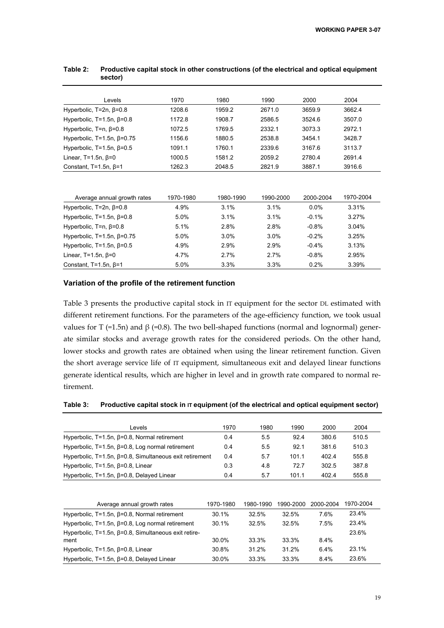| Levels                              | 1970      | 1980      | 1990      | 2000      | 2004      |
|-------------------------------------|-----------|-----------|-----------|-----------|-----------|
| Hyperbolic, $T=2n$ , $\beta=0.8$    | 1208.6    | 1959.2    | 2671.0    | 3659.9    | 3662.4    |
| Hyperbolic, $T=1.5n$ , $\beta=0.8$  | 1172.8    | 1908.7    | 2586.5    | 3524.6    | 3507.0    |
| Hyperbolic, $T=n$ , $\beta=0.8$     | 1072.5    | 1769.5    | 2332.1    | 3073.3    | 2972.1    |
| Hyperbolic, T=1.5n, $\beta$ =0.75   | 1156.6    | 1880.5    | 2538.8    | 3454.1    | 3428.7    |
| Hyperbolic, $T=1.5n$ , $\beta=0.5$  | 1091.1    | 1760.1    | 2339.6    | 3167.6    | 3113.7    |
| Linear, $T=1.5n$ , $\beta=0$        | 1000.5    | 1581.2    | 2059.2    | 2780.4    | 2691.4    |
| Constant, $T=1.5n$ , $\beta=1$      | 1262.3    | 2048.5    | 2821.9    | 3887.1    | 3916.6    |
| Average annual growth rates         | 1970-1980 | 1980-1990 | 1990-2000 | 2000-2004 | 1970-2004 |
| Hyperbolic, T=2n, β=0.8             | 4.9%      | 3.1%      | 3.1%      | 0.0%      | 3.31%     |
| Hyperbolic, T=1.5n, $\beta$ =0.8    | 5.0%      | 3.1%      | 3.1%      | $-0.1%$   | 3.27%     |
| Hyperbolic, $T=n$ , $\beta=0.8$     | 5.1%      | 2.8%      | 2.8%      | $-0.8%$   | 3.04%     |
| Hyperbolic, $T=1.5n$ , $\beta=0.75$ | 5.0%      | 3.0%      | 3.0%      | $-0.2%$   | 3.25%     |
| Hyperbolic, T=1.5n, $\beta$ =0.5    | 4.9%      | 2.9%      | 2.9%      | $-0.4%$   | 3.13%     |
| Linear, $T=1.5n$ , $\beta=0$        | 4.7%      | 2.7%      | 2.7%      | $-0.8%$   | 2.95%     |
| Constant, $T=1.5n$ , $\beta=1$      | 5.0%      | 3.3%      | 3.3%      | 0.2%      | 3.39%     |

#### **Table 2: Productive capital stock in other constructions (of the electrical and optical equipment sector)**

#### **Variation of the profile of the retirement function**

Table 3 presents the productive capital stock in IT equipment for the sector DL estimated with different retirement functions. For the parameters of the age-efficiency function, we took usual values for T (=1.5n) and  $β$  (=0.8). The two bell-shaped functions (normal and lognormal) generate similar stocks and average growth rates for the considered periods. On the other hand, lower stocks and growth rates are obtained when using the linear retirement function. Given the short average service life of IT equipment, simultaneous exit and delayed linear functions generate identical results, which are higher in level and in growth rate compared to normal retirement.

#### Table 3: Productive capital stock in IT equipment (of the electrical and optical equipment sector)

| Levels                                                         | 1970 | 1980 | 1990  | 2000  | 2004  |
|----------------------------------------------------------------|------|------|-------|-------|-------|
| Hyperbolic, $T=1.5n$ , $\beta=0.8$ , Normal retirement         | 0.4  | 5.5  | 92.4  | 380.6 | 510.5 |
| Hyperbolic, $T=1.5n$ , $\beta=0.8$ , Log normal retirement     | 0.4  | 5.5  | 92.1  | 381.6 | 510.3 |
| Hyperbolic, T=1.5n, $\beta$ =0.8, Simultaneous exit retirement | 0.4  | 5.7  | 101.1 | 402.4 | 555.8 |
| Hyperbolic, $T=1.5n$ , $\beta=0.8$ , Linear                    | 0.3  | 4.8  | 72.7  | 302.5 | 387.8 |
| Hyperbolic, $T=1.5n$ , $\beta=0.8$ , Delayed Linear            | 0.4  | 5.7  | 101.1 | 402.4 | 555.8 |

| Average annual growth rates                                    | 1970-1980 | 1980-1990 | 1990-2000 | 2000-2004 | 1970-2004 |
|----------------------------------------------------------------|-----------|-----------|-----------|-----------|-----------|
| Hyperbolic, $T=1.5n$ , $\beta=0.8$ , Normal retirement         | 30.1%     | 32.5%     | 32.5%     | 7.6%      | 23.4%     |
| Hyperbolic, $T=1.5n$ , $\beta=0.8$ , Log normal retirement     | 30.1%     | 32.5%     | 32.5%     | 7.5%      | 23.4%     |
| Hyperbolic, $T=1.5n$ , $\beta=0.8$ , Simultaneous exit retire- |           |           |           |           | 23.6%     |
| ment                                                           | 30.0%     | 33.3%     | 33.3%     | $8.4\%$   |           |
| Hyperbolic, $T=1.5n$ , $\beta=0.8$ , Linear                    | 30.8%     | 31.2%     | 31 2%     | 6.4%      | 23.1%     |
| Hyperbolic, $T=1.5n$ , $\beta=0.8$ , Delayed Linear            | 30.0%     | 33.3%     | 33.3%     | 8.4%      | 23.6%     |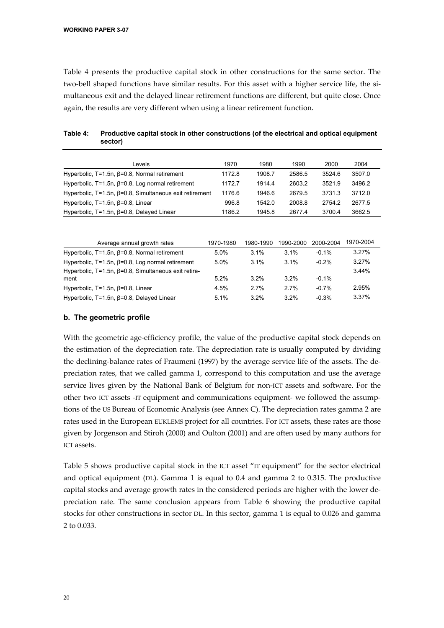Table 4 presents the productive capital stock in other constructions for the same sector. The two-bell shaped functions have similar results. For this asset with a higher service life, the simultaneous exit and the delayed linear retirement functions are different, but quite close. Once again, the results are very different when using a linear retirement function.

| Levels                                                            | 1970      | 1980      | 1990      | 2000      | 2004      |
|-------------------------------------------------------------------|-----------|-----------|-----------|-----------|-----------|
| Hyperbolic, $T=1.5n$ , $\beta=0.8$ , Normal retirement            | 1172.8    | 1908.7    | 2586.5    | 3524.6    | 3507.0    |
| Hyperbolic, $T=1.5n$ , $\beta=0.8$ , Log normal retirement        | 1172.7    | 1914.4    | 2603.2    | 3521.9    | 3496.2    |
| Hyperbolic, $T=1.5n$ , $\beta=0.8$ , Simultaneous exit retirement | 1176.6    | 1946.6    | 2679.5    | 3731.3    | 3712.0    |
| Hyperbolic, $T=1.5n$ , $\beta=0.8$ , Linear                       | 996.8     | 1542.0    | 2008.8    | 2754.2    | 2677.5    |
| Hyperbolic, T=1.5n, β=0.8, Delayed Linear                         | 1186.2    | 1945.8    | 2677.4    | 3700.4    | 3662.5    |
|                                                                   |           |           |           |           |           |
|                                                                   |           |           |           |           |           |
| Average annual growth rates                                       | 1970-1980 | 1980-1990 | 1990-2000 | 2000-2004 | 1970-2004 |
| Hyperbolic, $T=1.5n$ , $\beta=0.8$ , Normal retirement            | 5.0%      | 3.1%      | 3.1%      | $-0.1%$   | 3.27%     |
| Hyperbolic, $T=1.5n$ , $\beta=0.8$ , Log normal retirement        | 5.0%      | 3.1%      | 3.1%      | $-0.2%$   | 3.27%     |
| Hyperbolic, $T=1.5n$ , $\beta=0.8$ , Simultaneous exit retire-    |           |           |           |           | 3.44%     |
| ment                                                              | 5.2%      | 3.2%      | 3.2%      | $-0.1%$   |           |
| Hyperbolic, $T=1.5n$ , $\beta=0.8$ , Linear                       | 4.5%      | 2.7%      | 2.7%      | $-0.7%$   | 2.95%     |
| Hyperbolic, $T=1.5n$ , $\beta=0.8$ , Delayed Linear               | 5.1%      | 3.2%      | 3.2%      | $-0.3%$   | 3.37%     |

| Table 4: Productive capital stock in other constructions (of the electrical and optical equipment |
|---------------------------------------------------------------------------------------------------|
| sector)                                                                                           |

#### **b. The geometric profile**

With the geometric age-efficiency profile, the value of the productive capital stock depends on the estimation of the depreciation rate. The depreciation rate is usually computed by dividing the declining-balance rates of Fraumeni (1997) by the average service life of the assets. The depreciation rates, that we called gamma 1, correspond to this computation and use the average service lives given by the National Bank of Belgium for non-ICT assets and software. For the other two ICT assets -IT equipment and communications equipment- we followed the assumptions of the US Bureau of Economic Analysis (see Annex C). The depreciation rates gamma 2 are rates used in the European EUKLEMS project for all countries. For ICT assets, these rates are those given by Jorgenson and Stiroh (2000) and Oulton (2001) and are often used by many authors for ICT assets.

Table 5 shows productive capital stock in the ICT asset "IT equipment" for the sector electrical and optical equipment (DL). Gamma 1 is equal to 0.4 and gamma 2 to 0.315. The productive capital stocks and average growth rates in the considered periods are higher with the lower depreciation rate. The same conclusion appears from Table 6 showing the productive capital stocks for other constructions in sector DL. In this sector, gamma 1 is equal to 0.026 and gamma 2 to 0.033.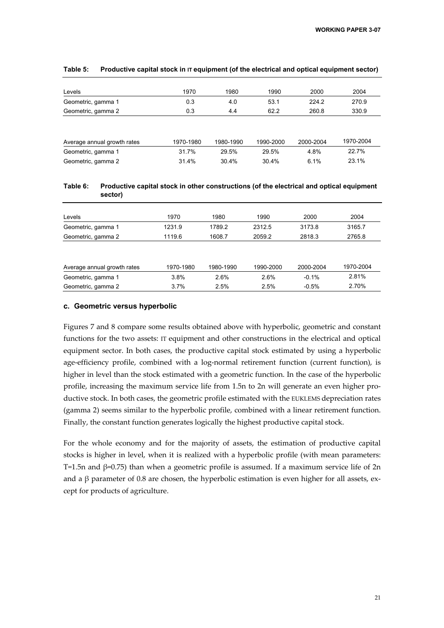| Levels                      | 1970      | 1980      | 1990      | 2000      | 2004      |
|-----------------------------|-----------|-----------|-----------|-----------|-----------|
| Geometric, gamma 1          | 0.3       | 4.0       | 53.1      | 224.2     | 270.9     |
| Geometric, gamma 2          | 0.3       | 4.4       | 62.2      | 260.8     | 330.9     |
|                             |           |           |           |           |           |
| Average annual growth rates | 1970-1980 | 1980-1990 | 1990-2000 | 2000-2004 | 1970-2004 |
| Geometric, gamma 1          | 31.7%     | 29.5%     | 29.5%     | 4.8%      | 22.7%     |
| Geometric, gamma 2          | 31.4%     | 30.4%     | 30.4%     | 6.1%      | 23.1%     |

#### Table 5: Productive capital stock in IT equipment (of the electrical and optical equipment sector)

#### **Table 6: Productive capital stock in other constructions (of the electrical and optical equipment sector)**

| Levels             | 1970   | 1980   | 1990   | 2000   | 2004   |
|--------------------|--------|--------|--------|--------|--------|
| Geometric, gamma 1 | 1231.9 | 1789.2 | 2312.5 | 3173.8 | 3165.7 |
| Geometric, gamma 2 | 1119.6 | 1608.7 | 2059.2 | 2818.3 | 2765.8 |

| Average annual growth rates | 1970-1980 | 1980-1990 | 1990-2000 | 2000-2004 | 1970-2004 |
|-----------------------------|-----------|-----------|-----------|-----------|-----------|
| Geometric, gamma 1          | 3.8%      | 2.6%      | 2.6%      | $-0.1\%$  | 2.81%     |
| Geometric, gamma 2          | 3.7%      | $2.5\%$   | $2.5\%$   | $-0.5\%$  | 2.70%     |

#### **c. Geometric versus hyperbolic**

Figures 7 and 8 compare some results obtained above with hyperbolic, geometric and constant functions for the two assets: IT equipment and other constructions in the electrical and optical equipment sector. In both cases, the productive capital stock estimated by using a hyperbolic age-efficiency profile, combined with a log-normal retirement function (current function), is higher in level than the stock estimated with a geometric function. In the case of the hyperbolic profile, increasing the maximum service life from 1.5n to 2n will generate an even higher productive stock. In both cases, the geometric profile estimated with the EUKLEMS depreciation rates (gamma 2) seems similar to the hyperbolic profile, combined with a linear retirement function. Finally, the constant function generates logically the highest productive capital stock.

For the whole economy and for the majority of assets, the estimation of productive capital stocks is higher in level, when it is realized with a hyperbolic profile (with mean parameters: T=1.5n and  $\beta$ =0.75) than when a geometric profile is assumed. If a maximum service life of 2n and a  $\beta$  parameter of 0.8 are chosen, the hyperbolic estimation is even higher for all assets, except for products of agriculture.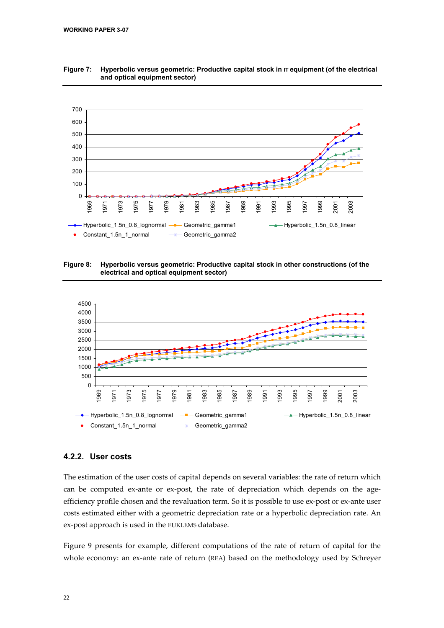

**Figure 7: Hyperbolic versus geometric: Productive capital stock in IT equipment (of the electrical and optical equipment sector)** 

**Figure 8: Hyperbolic versus geometric: Productive capital stock in other constructions (of the electrical and optical equipment sector)** 



#### **4.2.2. User costs**

The estimation of the user costs of capital depends on several variables: the rate of return which can be computed ex-ante or ex-post, the rate of depreciation which depends on the ageefficiency profile chosen and the revaluation term. So it is possible to use ex-post or ex-ante user costs estimated either with a geometric depreciation rate or a hyperbolic depreciation rate. An ex-post approach is used in the EUKLEMS database.

Figure 9 presents for example, different computations of the rate of return of capital for the whole economy: an ex-ante rate of return (REA) based on the methodology used by Schreyer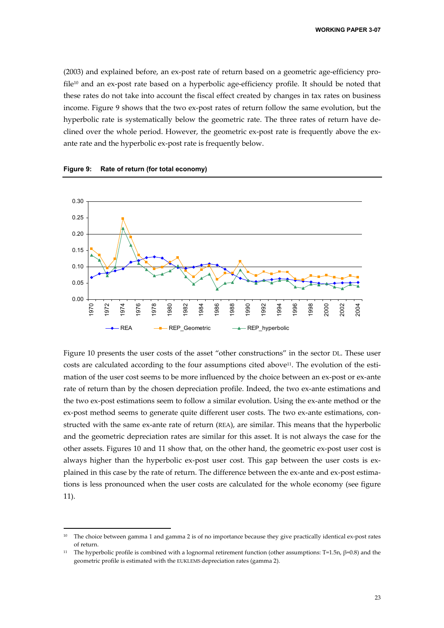(2003) and explained before, an ex-post rate of return based on a geometric age-efficiency profile<sup>10</sup> and an ex-post rate based on a hyperbolic age-efficiency profile. It should be noted that these rates do not take into account the fiscal effect created by changes in tax rates on business income. Figure 9 shows that the two ex-post rates of return follow the same evolution, but the hyperbolic rate is systematically below the geometric rate. The three rates of return have declined over the whole period. However, the geometric ex-post rate is frequently above the exante rate and the hyperbolic ex-post rate is frequently below.



**Figure 9: Rate of return (for total economy)** 

-

Figure 10 presents the user costs of the asset "other constructions" in the sector DL. These user costs are calculated according to the four assumptions cited above<sup>11</sup>. The evolution of the estimation of the user cost seems to be more influenced by the choice between an ex-post or ex-ante rate of return than by the chosen depreciation profile. Indeed, the two ex-ante estimations and the two ex-post estimations seem to follow a similar evolution. Using the ex-ante method or the ex-post method seems to generate quite different user costs. The two ex-ante estimations, constructed with the same ex-ante rate of return (REA), are similar. This means that the hyperbolic and the geometric depreciation rates are similar for this asset. It is not always the case for the other assets. Figures 10 and 11 show that, on the other hand, the geometric ex-post user cost is always higher than the hyperbolic ex-post user cost. This gap between the user costs is explained in this case by the rate of return. The difference between the ex-ante and ex-post estimations is less pronounced when the user costs are calculated for the whole economy (see figure 11).

<sup>&</sup>lt;sup>10</sup> The choice between gamma 1 and gamma 2 is of no importance because they give practically identical ex-post rates of return.

<sup>&</sup>lt;sup>11</sup> The hyperbolic profile is combined with a lognormal retirement function (other assumptions: T=1.5n,  $\beta$ =0.8) and the geometric profile is estimated with the EUKLEMS depreciation rates (gamma 2).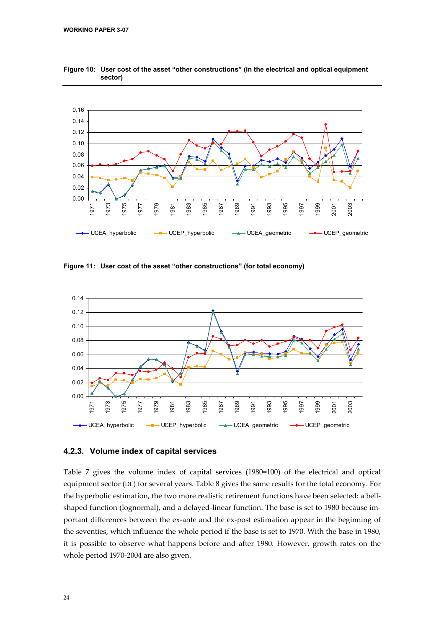

**Figure 10: User cost of the asset "other constructions" (in the electrical and optical equipment sector)** 

**Figure 11: User cost of the asset "other constructions" (for total economy)** 



#### **4.2.3. Volume index of capital services**

Table 7 gives the volume index of capital services (1980=100) of the electrical and optical equipment sector (DL) for several years. Table 8 gives the same results for the total economy. For the hyperbolic estimation, the two more realistic retirement functions have been selected: a bellshaped function (lognormal), and a delayed-linear function. The base is set to 1980 because important differences between the ex-ante and the ex-post estimation appear in the beginning of the seventies, which influence the whole period if the base is set to 1970. With the base in 1980, it is possible to observe what happens before and after 1980. However, growth rates on the whole period 1970-2004 are also given.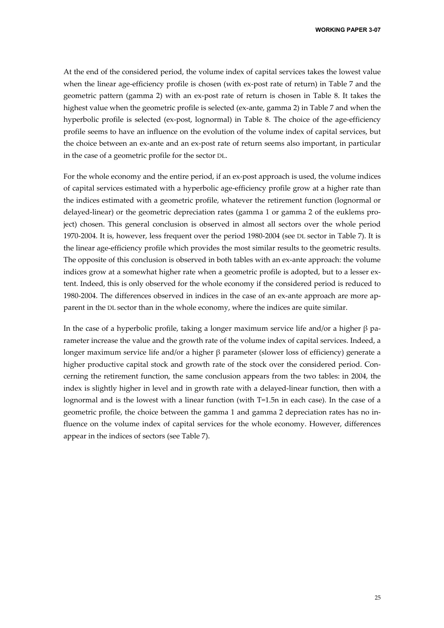**WORKING PAPER 3-07** 

At the end of the considered period, the volume index of capital services takes the lowest value when the linear age-efficiency profile is chosen (with ex-post rate of return) in Table 7 and the geometric pattern (gamma 2) with an ex-post rate of return is chosen in Table 8. It takes the highest value when the geometric profile is selected (ex-ante, gamma 2) in Table 7 and when the hyperbolic profile is selected (ex-post, lognormal) in Table 8. The choice of the age-efficiency profile seems to have an influence on the evolution of the volume index of capital services, but the choice between an ex-ante and an ex-post rate of return seems also important, in particular in the case of a geometric profile for the sector DL.

For the whole economy and the entire period, if an ex-post approach is used, the volume indices of capital services estimated with a hyperbolic age-efficiency profile grow at a higher rate than the indices estimated with a geometric profile, whatever the retirement function (lognormal or delayed-linear) or the geometric depreciation rates (gamma 1 or gamma 2 of the euklems project) chosen. This general conclusion is observed in almost all sectors over the whole period 1970-2004. It is, however, less frequent over the period 1980-2004 (see DL sector in Table 7). It is the linear age-efficiency profile which provides the most similar results to the geometric results. The opposite of this conclusion is observed in both tables with an ex-ante approach: the volume indices grow at a somewhat higher rate when a geometric profile is adopted, but to a lesser extent. Indeed, this is only observed for the whole economy if the considered period is reduced to 1980-2004. The differences observed in indices in the case of an ex-ante approach are more apparent in the DL sector than in the whole economy, where the indices are quite similar.

In the case of a hyperbolic profile, taking a longer maximum service life and/or a higher β parameter increase the value and the growth rate of the volume index of capital services. Indeed, a longer maximum service life and/or a higher β parameter (slower loss of efficiency) generate a higher productive capital stock and growth rate of the stock over the considered period. Concerning the retirement function, the same conclusion appears from the two tables: in 2004, the index is slightly higher in level and in growth rate with a delayed-linear function, then with a lognormal and is the lowest with a linear function (with T=1.5n in each case). In the case of a geometric profile, the choice between the gamma 1 and gamma 2 depreciation rates has no influence on the volume index of capital services for the whole economy. However, differences appear in the indices of sectors (see Table 7).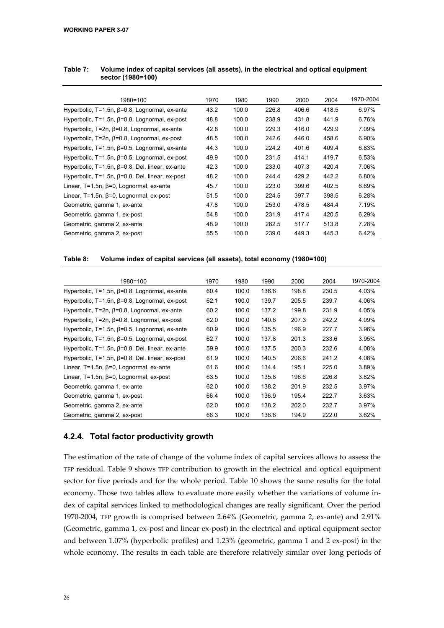| 1980=100                                                  | 1970 | 1980  | 1990  | 2000  | 2004  | 1970-2004 |
|-----------------------------------------------------------|------|-------|-------|-------|-------|-----------|
| Hyperbolic, $T=1.5n$ , $\beta=0.8$ , Lognormal, ex-ante   | 43.2 | 100.0 | 226.8 | 406.6 | 418.5 | 6.97%     |
| Hyperbolic, $T=1.5n$ , $\beta=0.8$ , Lognormal, ex-post   | 48.8 | 100.0 | 238.9 | 431.8 | 441.9 | 6.76%     |
| Hyperbolic, $T=2n$ , $\beta=0.8$ , Lognormal, ex-ante     | 42.8 | 100.0 | 229.3 | 416.0 | 429.9 | 7.09%     |
| Hyperbolic, $T=2n$ , $\beta=0.8$ , Lognormal, ex-post     | 48.5 | 100.0 | 242.6 | 446.0 | 458.6 | 6.90%     |
| Hyperbolic, $T=1.5n$ , $\beta=0.5$ , Lognormal, ex-ante   | 44.3 | 100.0 | 224.2 | 401.6 | 409.4 | 6.83%     |
| Hyperbolic, $T=1.5n$ , $\beta=0.5$ , Lognormal, ex-post   | 49.9 | 100.0 | 231.5 | 414.1 | 419.7 | 6.53%     |
| Hyperbolic, $T=1.5n$ , $\beta=0.8$ , Del. linear, ex-ante | 42.3 | 100.0 | 233.0 | 407.3 | 420.4 | 7.06%     |
| Hyperbolic, $T=1.5n$ , $\beta=0.8$ , Del. linear, ex-post | 48.2 | 100.0 | 244.4 | 429.2 | 442.2 | 6.80%     |
| Linear, $T=1.5n$ , $\beta=0$ , Lognormal, ex-ante         | 45.7 | 100.0 | 223.0 | 399.6 | 402.5 | 6.69%     |
| Linear, $T=1.5n$ , $\beta=0$ , Lognormal, ex-post         | 51.5 | 100.0 | 224.5 | 397.7 | 398.5 | 6.28%     |
| Geometric, gamma 1, ex-ante                               | 47.8 | 100.0 | 253.0 | 478.5 | 484.4 | 7.19%     |
| Geometric, gamma 1, ex-post                               | 54.8 | 100.0 | 231.9 | 417.4 | 420.5 | 6.29%     |
| Geometric, gamma 2, ex-ante                               | 48.9 | 100.0 | 262.5 | 517.7 | 513.8 | 7.28%     |
| Geometric, gamma 2, ex-post                               | 55.5 | 100.0 | 239.0 | 449.3 | 445.3 | 6.42%     |

#### **Table 7: Volume index of capital services (all assets), in the electrical and optical equipment sector (1980=100)**

#### **Table 8: Volume index of capital services (all assets), total economy (1980=100)**

| 1980=100                                                  | 1970 | 1980  | 1990  | 2000  | 2004  | 1970-2004 |
|-----------------------------------------------------------|------|-------|-------|-------|-------|-----------|
|                                                           |      |       |       |       |       |           |
| Hyperbolic, $T=1.5n$ , $\beta=0.8$ , Lognormal, ex-ante   | 60.4 | 100.0 | 136.6 | 198.8 | 230.5 | 4.03%     |
| Hyperbolic, $T=1.5n$ , $\beta=0.8$ , Lognormal, ex-post   | 62.1 | 100.0 | 139.7 | 205.5 | 239.7 | 4.06%     |
| Hyperbolic, $T=2n$ , $\beta=0.8$ , Lognormal, ex-ante     | 60.2 | 100.0 | 137.2 | 199.8 | 231.9 | 4.05%     |
| Hyperbolic, $T=2n$ , $\beta=0.8$ , Lognormal, ex-post     | 62.0 | 100.0 | 140.6 | 207.3 | 242.2 | 4.09%     |
| Hyperbolic, $T=1.5n$ , $\beta=0.5$ , Lognormal, ex-ante   | 60.9 | 100.0 | 135.5 | 196.9 | 227.7 | 3.96%     |
| Hyperbolic, $T=1.5n$ , $\beta=0.5$ , Lognormal, ex-post   | 62.7 | 100.0 | 137.8 | 201.3 | 233.6 | 3.95%     |
| Hyperbolic, $T=1.5n$ , $\beta=0.8$ , Del. linear, ex-ante | 59.9 | 100.0 | 137.5 | 200.3 | 232.6 | 4.08%     |
| Hyperbolic, $T=1.5n$ , $\beta=0.8$ , Del. linear, ex-post | 61.9 | 100.0 | 140.5 | 206.6 | 241.2 | 4.08%     |
| Linear, $T=1.5n$ , $\beta=0$ , Lognormal, ex-ante         | 61.6 | 100.0 | 134.4 | 195.1 | 225.0 | 3.89%     |
| Linear, $T=1.5n$ , $\beta=0$ , Lognormal, ex-post         | 63.5 | 100.0 | 135.8 | 196.6 | 226.8 | 3.82%     |
| Geometric, gamma 1, ex-ante                               | 62.0 | 100.0 | 138.2 | 201.9 | 232.5 | 3.97%     |
| Geometric, gamma 1, ex-post                               | 66.4 | 100.0 | 136.9 | 195.4 | 222.7 | 3.63%     |
| Geometric, gamma 2, ex-ante                               | 62.0 | 100.0 | 138.2 | 202.0 | 232.7 | 3.97%     |
| Geometric, gamma 2, ex-post                               | 66.3 | 100.0 | 136.6 | 194.9 | 222.0 | 3.62%     |

#### **4.2.4. Total factor productivity growth**

The estimation of the rate of change of the volume index of capital services allows to assess the TFP residual. Table 9 shows TFP contribution to growth in the electrical and optical equipment sector for five periods and for the whole period. Table 10 shows the same results for the total economy. Those two tables allow to evaluate more easily whether the variations of volume index of capital services linked to methodological changes are really significant. Over the period 1970-2004, TFP growth is comprised between 2.64% (Geometric, gamma 2, ex-ante) and 2.91% (Geometric, gamma 1, ex-post and linear ex-post) in the electrical and optical equipment sector and between 1.07% (hyperbolic profiles) and 1.23% (geometric, gamma 1 and 2 ex-post) in the whole economy. The results in each table are therefore relatively similar over long periods of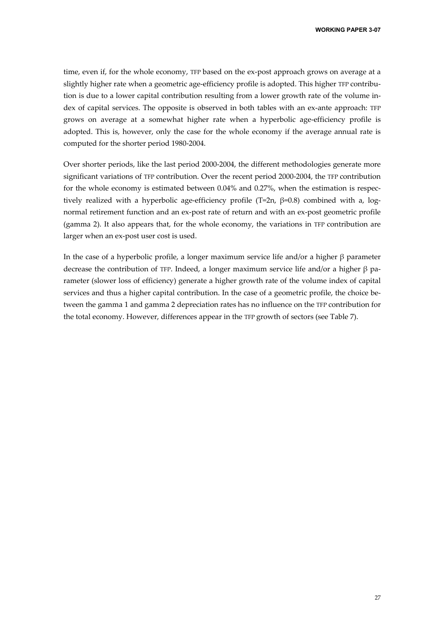time, even if, for the whole economy, TFP based on the ex-post approach grows on average at a slightly higher rate when a geometric age-efficiency profile is adopted. This higher TFP contribution is due to a lower capital contribution resulting from a lower growth rate of the volume index of capital services. The opposite is observed in both tables with an ex-ante approach: TFP grows on average at a somewhat higher rate when a hyperbolic age-efficiency profile is adopted. This is, however, only the case for the whole economy if the average annual rate is computed for the shorter period 1980-2004.

Over shorter periods, like the last period 2000-2004, the different methodologies generate more significant variations of TFP contribution. Over the recent period 2000-2004, the TFP contribution for the whole economy is estimated between 0.04% and 0.27%, when the estimation is respectively realized with a hyperbolic age-efficiency profile (T=2n,  $\beta$ =0.8) combined with a, lognormal retirement function and an ex-post rate of return and with an ex-post geometric profile (gamma 2). It also appears that, for the whole economy, the variations in TFP contribution are larger when an ex-post user cost is used.

In the case of a hyperbolic profile, a longer maximum service life and/or a higher β parameter decrease the contribution of TFP. Indeed, a longer maximum service life and/or a higher β parameter (slower loss of efficiency) generate a higher growth rate of the volume index of capital services and thus a higher capital contribution. In the case of a geometric profile, the choice between the gamma 1 and gamma 2 depreciation rates has no influence on the TFP contribution for the total economy. However, differences appear in the TFP growth of sectors (see Table 7).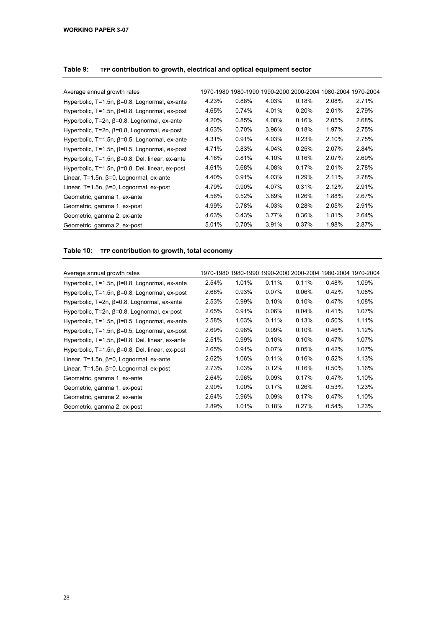| Average annual growth rates                               |       |       | 1970-1980 1980-1990 1990-2000 2000-2004 1980-2004 1970-2004 |       |       |       |
|-----------------------------------------------------------|-------|-------|-------------------------------------------------------------|-------|-------|-------|
| Hyperbolic, $T=1.5n$ , $\beta=0.8$ , Lognormal, ex-ante   | 4.23% | 0.88% | 4.03%                                                       | 0.18% | 2.08% | 2.71% |
| Hyperbolic, $T=1.5n$ , $\beta=0.8$ , Lognormal, ex-post   | 4.65% | 0.74% | 4.01%                                                       | 0.20% | 2.01% | 2.79% |
| Hyperbolic, $T=2n$ , $\beta=0.8$ , Lognormal, ex-ante     | 4.20% | 0.85% | 4.00%                                                       | 0.16% | 2.05% | 2.68% |
| Hyperbolic, T=2n, β=0.8, Lognormal, ex-post               | 4.63% | 0.70% | 3.96%                                                       | 0.18% | 1.97% | 2.75% |
| Hyperbolic, $T=1.5n$ , $\beta=0.5$ , Lognormal, ex-ante   | 4.31% | 0.91% | 4.03%                                                       | 0.23% | 2.10% | 2.75% |
| Hyperbolic, $T=1.5n$ , $\beta=0.5$ , Lognormal, ex-post   | 4.71% | 0.83% | 4.04%                                                       | 0.25% | 2.07% | 2.84% |
| Hyperbolic, $T=1.5n$ , $\beta=0.8$ , Del. linear, ex-ante | 4.16% | 0.81% | 4.10%                                                       | 0.16% | 2.07% | 2.69% |
| Hyperbolic, $T=1.5n$ , $\beta=0.8$ , Del. linear, ex-post | 4.61% | 0.68% | 4.08%                                                       | 0.17% | 2.01% | 2.78% |
| Linear, $T=1.5n$ , $\beta=0$ , Lognormal, ex-ante         | 4.40% | 0.91% | 4.03%                                                       | 0.29% | 2.11% | 2.78% |
| Linear, $T=1.5n$ , $\beta=0$ , Lognormal, ex-post         | 4.79% | 0.90% | 4.07%                                                       | 0.31% | 2.12% | 2.91% |
| Geometric, gamma 1, ex-ante                               | 4.56% | 0.52% | 3.89%                                                       | 0.26% | 1.88% | 2.67% |
| Geometric, gamma 1, ex-post                               | 4.99% | 0.78% | 4.03%                                                       | 0.28% | 2.05% | 2.91% |
| Geometric, gamma 2, ex-ante                               | 4.63% | 0.43% | 3.77%                                                       | 0.36% | 1.81% | 2.64% |
| Geometric, gamma 2, ex-post                               | 5.01% | 0.70% | 3.91%                                                       | 0.37% | 1.98% | 2.87% |

#### **Table 9: TFP contribution to growth, electrical and optical equipment sector**

#### **Table 10: TFP contribution to growth, total economy**

| Average annual growth rates                               |       |       |          |          | 1970-1980 1980-1990 1990-2000 2000-2004 1980-2004 1970-2004 |       |
|-----------------------------------------------------------|-------|-------|----------|----------|-------------------------------------------------------------|-------|
| Hyperbolic, $T=1.5n$ , $\beta=0.8$ , Lognormal, ex-ante   | 2.54% | 1.01% | 0.11%    | 0.11%    | 0.48%                                                       | 1.09% |
| Hyperbolic, $T=1.5n$ , $\beta=0.8$ , Lognormal, ex-post   | 2.66% | 0.93% | 0.07%    | 0.06%    | 0.42%                                                       | 1.08% |
| Hyperbolic, $T=2n$ , $\beta=0.8$ , Lognormal, ex-ante     | 2.53% | 0.99% | 0.10%    | 0.10%    | 0.47%                                                       | 1.08% |
| Hyperbolic, $T=2n$ , $\beta=0.8$ , Lognormal, ex-post     | 2.65% | 0.91% | $0.06\%$ | $0.04\%$ | 0.41%                                                       | 1.07% |
| Hyperbolic, $T=1.5n$ , $\beta=0.5$ , Lognormal, ex-ante   | 2.58% | 1.03% | 0.11%    | 0.13%    | 0.50%                                                       | 1.11% |
| Hyperbolic, $T=1.5n$ , $\beta=0.5$ , Lognormal, ex-post   | 2.69% | 0.98% | 0.09%    | 0.10%    | 0.46%                                                       | 1.12% |
| Hyperbolic, $T=1.5n$ , $\beta=0.8$ , Del. linear, ex-ante | 2.51% | 0.99% | 0.10%    | 0.10%    | 0.47%                                                       | 1.07% |
| Hyperbolic, $T=1.5n$ , $\beta=0.8$ , Del. linear, ex-post | 2.65% | 0.91% | $0.07\%$ | 0.05%    | 0.42%                                                       | 1.07% |
| Linear, $T=1.5n$ , $\beta=0$ , Lognormal, ex-ante         | 2.62% | 1.06% | 0.11%    | 0.16%    | 0.52%                                                       | 1.13% |
| Linear, $T=1.5n$ , $\beta=0$ , Lognormal, ex-post         | 2.73% | 1.03% | 0.12%    | 0.16%    | 0.50%                                                       | 1.16% |
| Geometric, gamma 1, ex-ante                               | 2.64% | 0.96% | 0.09%    | 0.17%    | 0.47%                                                       | 1.10% |
| Geometric, gamma 1, ex-post                               | 2.90% | 1.00% | 0.17%    | 0.26%    | 0.53%                                                       | 1.23% |
| Geometric, gamma 2, ex-ante                               | 2.64% | 0.96% | 0.09%    | 0.17%    | 0.47%                                                       | 1.10% |
| Geometric, gamma 2, ex-post                               | 2.89% | 1.01% | 0.18%    | 0.27%    | 0.54%                                                       | 1.23% |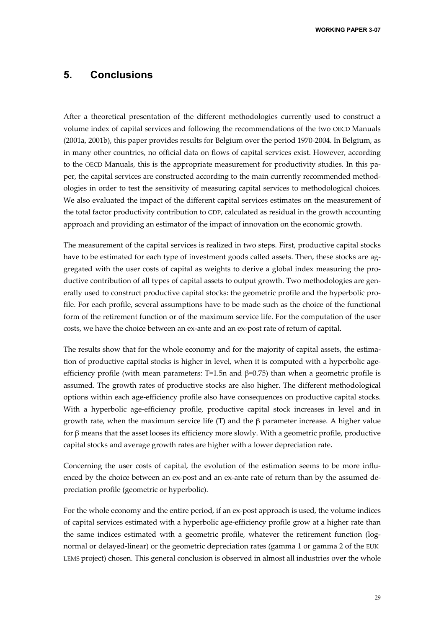**WORKING PAPER 3-07** 

## **5. Conclusions**

After a theoretical presentation of the different methodologies currently used to construct a volume index of capital services and following the recommendations of the two OECD Manuals (2001a, 2001b), this paper provides results for Belgium over the period 1970-2004. In Belgium, as in many other countries, no official data on flows of capital services exist. However, according to the OECD Manuals, this is the appropriate measurement for productivity studies. In this paper, the capital services are constructed according to the main currently recommended methodologies in order to test the sensitivity of measuring capital services to methodological choices. We also evaluated the impact of the different capital services estimates on the measurement of the total factor productivity contribution to GDP, calculated as residual in the growth accounting approach and providing an estimator of the impact of innovation on the economic growth.

The measurement of the capital services is realized in two steps. First, productive capital stocks have to be estimated for each type of investment goods called assets. Then, these stocks are aggregated with the user costs of capital as weights to derive a global index measuring the productive contribution of all types of capital assets to output growth. Two methodologies are generally used to construct productive capital stocks: the geometric profile and the hyperbolic profile. For each profile, several assumptions have to be made such as the choice of the functional form of the retirement function or of the maximum service life. For the computation of the user costs, we have the choice between an ex-ante and an ex-post rate of return of capital.

The results show that for the whole economy and for the majority of capital assets, the estimation of productive capital stocks is higher in level, when it is computed with a hyperbolic ageefficiency profile (with mean parameters: T=1.5n and  $\beta$ =0.75) than when a geometric profile is assumed. The growth rates of productive stocks are also higher. The different methodological options within each age-efficiency profile also have consequences on productive capital stocks. With a hyperbolic age-efficiency profile, productive capital stock increases in level and in growth rate, when the maximum service life (T) and the  $\beta$  parameter increase. A higher value for β means that the asset looses its efficiency more slowly. With a geometric profile, productive capital stocks and average growth rates are higher with a lower depreciation rate.

Concerning the user costs of capital, the evolution of the estimation seems to be more influenced by the choice between an ex-post and an ex-ante rate of return than by the assumed depreciation profile (geometric or hyperbolic).

For the whole economy and the entire period, if an ex-post approach is used, the volume indices of capital services estimated with a hyperbolic age-efficiency profile grow at a higher rate than the same indices estimated with a geometric profile, whatever the retirement function (lognormal or delayed-linear) or the geometric depreciation rates (gamma 1 or gamma 2 of the EUK-LEMS project) chosen. This general conclusion is observed in almost all industries over the whole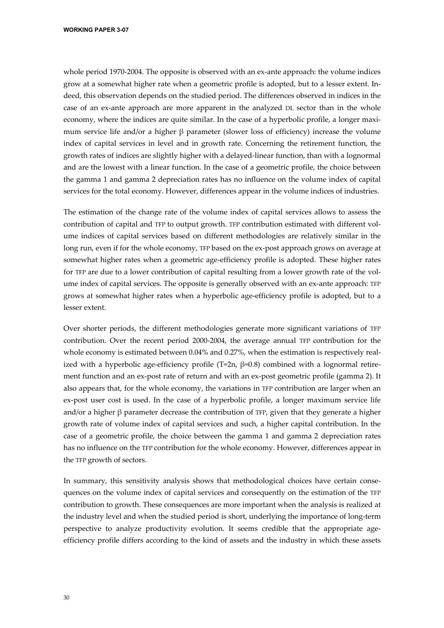whole period 1970-2004. The opposite is observed with an ex-ante approach: the volume indices grow at a somewhat higher rate when a geometric profile is adopted, but to a lesser extent. Indeed, this observation depends on the studied period. The differences observed in indices in the case of an ex-ante approach are more apparent in the analyzed DL sector than in the whole economy, where the indices are quite similar. In the case of a hyperbolic profile, a longer maximum service life and/or a higher  $\beta$  parameter (slower loss of efficiency) increase the volume index of capital services in level and in growth rate. Concerning the retirement function, the growth rates of indices are slightly higher with a delayed-linear function, than with a lognormal and are the lowest with a linear function. In the case of a geometric profile, the choice between the gamma 1 and gamma 2 depreciation rates has no influence on the volume index of capital services for the total economy. However, differences appear in the volume indices of industries.

The estimation of the change rate of the volume index of capital services allows to assess the contribution of capital and TFP to output growth. TFP contribution estimated with different volume indices of capital services based on different methodologies are relatively similar in the long run, even if for the whole economy, TFP based on the ex-post approach grows on average at somewhat higher rates when a geometric age-efficiency profile is adopted. These higher rates for TFP are due to a lower contribution of capital resulting from a lower growth rate of the volume index of capital services. The opposite is generally observed with an ex-ante approach: TFP grows at somewhat higher rates when a hyperbolic age-efficiency profile is adopted, but to a lesser extent.

Over shorter periods, the different methodologies generate more significant variations of TFP contribution. Over the recent period 2000-2004, the average annual TFP contribution for the whole economy is estimated between 0.04% and 0.27%, when the estimation is respectively realized with a hyperbolic age-efficiency profile (T=2n, β=0.8) combined with a lognormal retirement function and an ex-post rate of return and with an ex-post geometric profile (gamma 2). It also appears that, for the whole economy, the variations in TFP contribution are larger when an ex-post user cost is used. In the case of a hyperbolic profile, a longer maximum service life and/or a higher  $\beta$  parameter decrease the contribution of TFP, given that they generate a higher growth rate of volume index of capital services and such, a higher capital contribution. In the case of a geometric profile, the choice between the gamma 1 and gamma 2 depreciation rates has no influence on the TFP contribution for the whole economy. However, differences appear in the TFP growth of sectors.

In summary, this sensitivity analysis shows that methodological choices have certain consequences on the volume index of capital services and consequently on the estimation of the TFP contribution to growth. These consequences are more important when the analysis is realized at the industry level and when the studied period is short, underlying the importance of long-term perspective to analyze productivity evolution. It seems credible that the appropriate ageefficiency profile differs according to the kind of assets and the industry in which these assets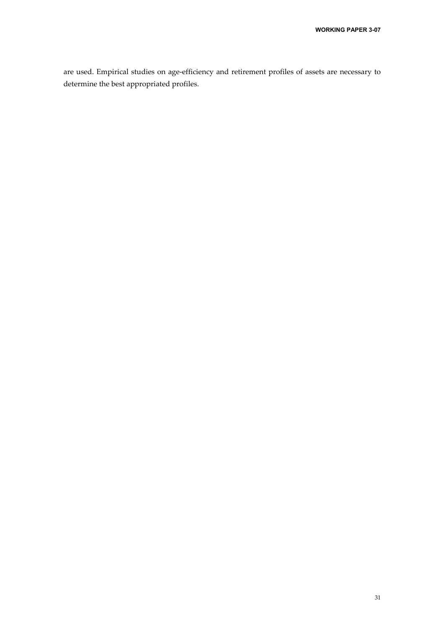are used. Empirical studies on age-efficiency and retirement profiles of assets are necessary to determine the best appropriated profiles.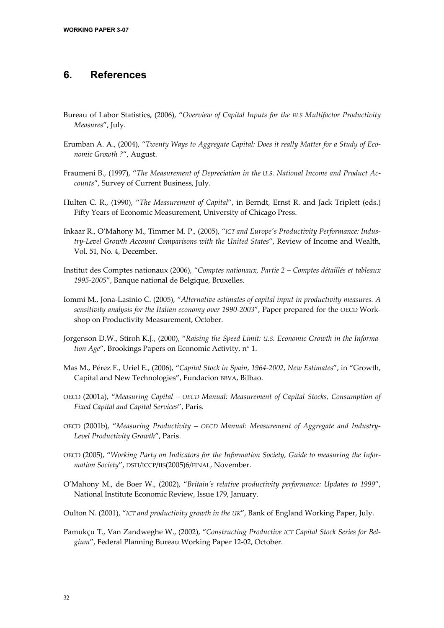## **6. References**

- Bureau of Labor Statistics, (2006), "*Overview of Capital Inputs for the BLS Multifactor Productivity Measures*", July.
- Erumban A. A., (2004), "*Twenty Ways to Aggregate Capital: Does it really Matter for a Study of Economic Growth ?*", August.
- Fraumeni B., (1997), "*The Measurement of Depreciation in the U.S. National Income and Product Accounts*", Survey of Current Business, July.
- Hulten C. R., (1990), "*The Measurement of Capital*", in Berndt, Ernst R. and Jack Triplett (eds.) Fifty Years of Economic Measurement, University of Chicago Press.
- Inkaar R., O'Mahony M., Timmer M. P., (2005), "*ICT and Europe's Productivity Performance: Industry-Level Growth Account Comparisons with the United States*", Review of Income and Wealth, Vol. 51, No. 4, December.
- Institut des Comptes nationaux (2006), "*Comptes nationaux, Partie 2 Comptes détaillés et tableaux 1995-2005*", Banque national de Belgique, Bruxelles.
- Iommi M., Jona-Lasinio C. (2005), "*Alternative estimates of capital input in productivity measures. A sensitivity analysis for the Italian economy over 1990-2003*", Paper prepared for the OECD Workshop on Productivity Measurement, October.
- Jorgenson D.W., Stiroh K.J., (2000), "*Raising the Speed Limit: U.S. Economic Growth in the Information Age*", Brookings Papers on Economic Activity, n° 1.
- Mas M., Pérez F., Uriel E., (2006), "*Capital Stock in Spain, 1964-2002, New Estimates*", in "Growth, Capital and New Technologies", Fundacion BBVA, Bilbao.
- OECD (2001a), "*Measuring Capital OECD Manual: Measurement of Capital Stocks, Consumption of Fixed Capital and Capital Services*", Paris.
- OECD (2001b), "*Measuring Productivity OECD Manual: Measurement of Aggregate and Industry-Level Productivity Growth*", Paris.
- OECD (2005), "*Working Party on Indicators for the Information Society, Guide to measuring the Information Society*", DSTI/ICCP/IIS(2005)6/FINAL, November.
- O'Mahony M., de Boer W., (2002), "*Britain's relative productivity performance: Updates to 1999*", National Institute Economic Review, Issue 179, January.
- Oulton N. (2001), "*ICT and productivity growth in the UK*", Bank of England Working Paper, July.
- Pamukçu T., Van Zandweghe W., (2002), "*Constructing Productive ICT Capital Stock Series for Belgium*", Federal Planning Bureau Working Paper 12-02, October.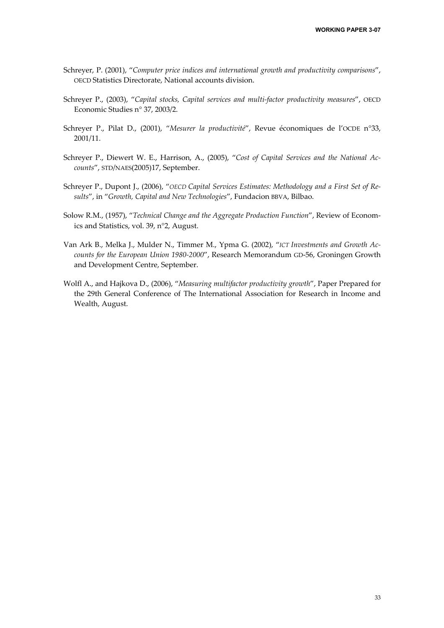- Schreyer, P. (2001), "*Computer price indices and international growth and productivity comparisons*", OECD Statistics Directorate, National accounts division.
- Schreyer P., (2003), "*Capital stocks, Capital services and multi-factor productivity measures*", OECD Economic Studies n° 37, 2003/2.
- Schreyer P., Pilat D., (2001), "*Mesurer la productivité*", Revue économiques de l'OCDE n°33, 2001/11.
- Schreyer P., Diewert W. E., Harrison, A., (2005), "*Cost of Capital Services and the National Accounts*", STD/NAES(2005)17, September.
- Schreyer P., Dupont J., (2006), "OECD Capital Services Estimates: Methodology and a First Set of Re*sults*", in "*Growth, Capital and New Technologies*", Fundacion BBVA, Bilbao.
- Solow R.M., (1957), "*Technical Change and the Aggregate Production Function*", Review of Economics and Statistics, vol. 39, n°2, August.
- Van Ark B., Melka J., Mulder N., Timmer M., Ypma G. (2002), "*ICT Investments and Growth Accounts for the European Union 1980-2000*", Research Memorandum GD-56, Groningen Growth and Development Centre, September.
- Wolfl A., and Hajkova D., (2006), "*Measuring multifactor productivity growth*", Paper Prepared for the 29th General Conference of The International Association for Research in Income and Wealth, August.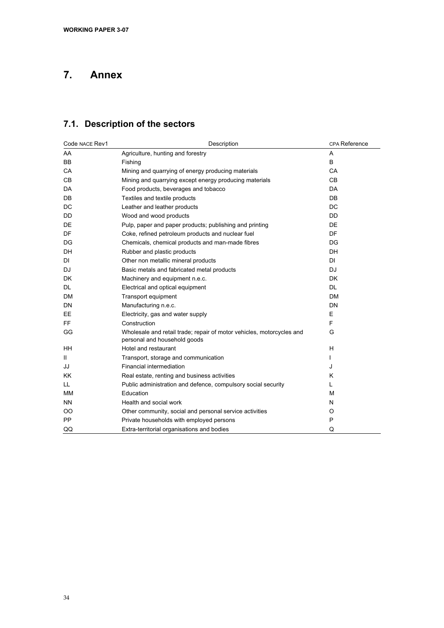## **7. Annex**

## **7.1. Description of the sectors**

| Code NACE Rev1 | Description                                                                                           | CPA Reference |
|----------------|-------------------------------------------------------------------------------------------------------|---------------|
| AA             | Agriculture, hunting and forestry                                                                     | A             |
| <b>BB</b>      | Fishing                                                                                               | B             |
| CA             | Mining and quarrying of energy producing materials                                                    | CA            |
| C <sub>B</sub> | Mining and quarrying except energy producing materials                                                | <b>CB</b>     |
| DA             | Food products, beverages and tobacco                                                                  | <b>DA</b>     |
| <b>DB</b>      | Textiles and textile products                                                                         | <b>DB</b>     |
| DC             | Leather and leather products                                                                          | <b>DC</b>     |
| DD             | Wood and wood products                                                                                | <b>DD</b>     |
| DE             | Pulp, paper and paper products; publishing and printing                                               | DE            |
| DF             | Coke, refined petroleum products and nuclear fuel                                                     | DF            |
| DG             | Chemicals, chemical products and man-made fibres                                                      | DG            |
| DH             | Rubber and plastic products                                                                           | <b>DH</b>     |
| DI             | Other non metallic mineral products                                                                   | <b>DI</b>     |
| DJ             | Basic metals and fabricated metal products                                                            | DJ            |
| <b>DK</b>      | Machinery and equipment n.e.c.                                                                        | <b>DK</b>     |
| DL             | Electrical and optical equipment                                                                      | <b>DL</b>     |
| <b>DM</b>      | Transport equipment                                                                                   | <b>DM</b>     |
| DN             | Manufacturing n.e.c.                                                                                  | <b>DN</b>     |
| EE             | Electricity, gas and water supply                                                                     | E             |
| FF.            | Construction                                                                                          | F             |
| GG             | Wholesale and retail trade; repair of motor vehicles, motorcycles and<br>personal and household goods | G             |
| HH             | Hotel and restaurant                                                                                  | H             |
| Ш.             | Transport, storage and communication                                                                  |               |
| JJ             | Financial intermediation                                                                              | J             |
| <b>KK</b>      | Real estate, renting and business activities                                                          | K             |
| LL.            | Public administration and defence, compulsory social security                                         | L             |
| <b>MM</b>      | Education                                                                                             | м             |
| ΝN             | Health and social work                                                                                | N             |
| OO             | Other community, social and personal service activities                                               | O             |
| <b>PP</b>      | Private households with employed persons                                                              | P             |
| QQ             | Extra-territorial organisations and bodies                                                            | Q             |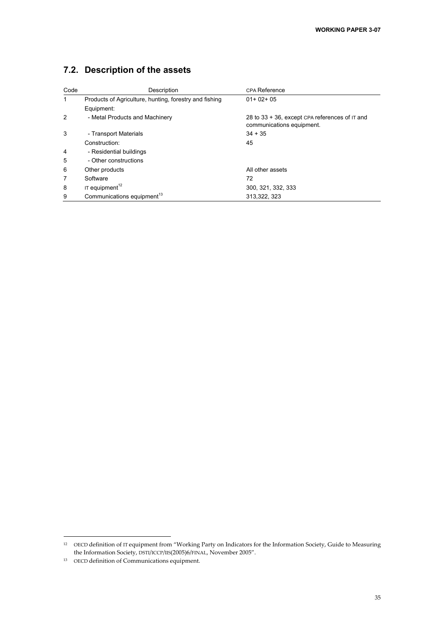## **7.2. Description of the assets**

| Code           | Description                                            | CPA Reference                                                               |
|----------------|--------------------------------------------------------|-----------------------------------------------------------------------------|
| $\mathbf{1}$   | Products of Agriculture, hunting, forestry and fishing | $01+02+05$                                                                  |
|                | Equipment:                                             |                                                                             |
| 2              | - Metal Products and Machinery                         | 28 to 33 + 36, except CPA references of IT and<br>communications equipment. |
| 3              | - Transport Materials                                  | $34 + 35$                                                                   |
|                | Construction:                                          | 45                                                                          |
| $\overline{4}$ | - Residential buildings                                |                                                                             |
| 5              | - Other constructions                                  |                                                                             |
| 6              | Other products                                         | All other assets                                                            |
| 7              | Software                                               | 72                                                                          |
| 8              | IT equipment <sup>12</sup>                             | 300, 321, 332, 333                                                          |
| 9              | Communications equipment <sup>13</sup>                 | 313.322.323                                                                 |

1

<sup>12</sup> OECD definition of IT equipment from "Working Party on Indicators for the Information Society, Guide to Measuring the Information Society, DSTI/ICCP/IIS(2005)6/FINAL, November 2005".

<sup>13</sup> OECD definition of Communications equipment.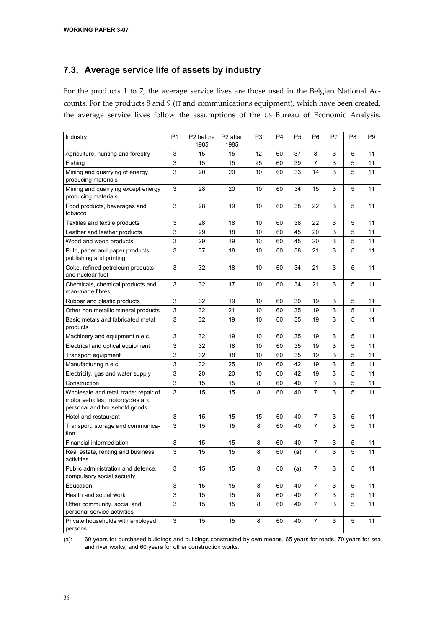### **7.3. Average service life of assets by industry**

For the products 1 to 7, the average service lives are those used in the Belgian National Accounts. For the products 8 and 9 (IT and communications equipment), which have been created, the average service lives follow the assumptions of the US Bureau of Economic Analysis.

| Industry                                                                                                 | P <sub>1</sub>            | P <sub>2</sub> before<br>1985 | P <sub>2</sub> after<br>1985 | P <sub>3</sub> | P <sub>4</sub> | P <sub>5</sub> | P <sub>6</sub> | P7 | P <sub>8</sub> | P <sub>9</sub> |
|----------------------------------------------------------------------------------------------------------|---------------------------|-------------------------------|------------------------------|----------------|----------------|----------------|----------------|----|----------------|----------------|
| Agriculture, hunting and forestry                                                                        | 3                         | 15                            | 15                           | 12             | 60             | 37             | 8              | 3  | 5              | 11             |
| Fishing                                                                                                  | $\mathsf 3$               | 15                            | 15                           | 25             | 60             | 39             | 7              | 3  | 5              | 11             |
| Mining and guarrying of energy<br>producing materials                                                    | 3                         | 20                            | 20                           | 10             | 60             | 33             | 14             | 3  | 5              | 11             |
| Mining and quarrying except energy<br>producing materials                                                | 3                         | 28                            | 20                           | 10             | 60             | 34             | 15             | 3  | 5              | 11             |
| Food products, beverages and<br>tobacco                                                                  | 3                         | 28                            | 19                           | 10             | 60             | 38             | 22             | 3  | 5              | 11             |
| Textiles and textile products                                                                            | 3                         | 28                            | 18                           | 10             | 60             | 38             | 22             | 3  | 5              | 11             |
| Leather and leather products                                                                             | 3                         | 29                            | 18                           | 10             | 60             | 45             | 20             | 3  | 5              | 11             |
| Wood and wood products                                                                                   | 3                         | 29                            | 19                           | 10             | 60             | 45             | 20             | 3  | 5              | 11             |
| Pulp, paper and paper products;<br>publishing and printing                                               | 3                         | 37                            | 18                           | 10             | 60             | 38             | 21             | 3  | 5              | 11             |
| Coke, refined petroleum products<br>and nuclear fuel                                                     | 3                         | 32                            | 18                           | 10             | 60             | 34             | 21             | 3  | 5              | 11             |
| Chemicals, chemical products and<br>man-made fibres                                                      | 3                         | 32                            | 17                           | 10             | 60             | 34             | 21             | 3  | 5              | 11             |
| Rubber and plastic products                                                                              | 3                         | 32                            | 19                           | 10             | 60             | 30             | 19             | 3  | 5              | 11             |
| Other non metallic mineral products                                                                      | 3                         | 32                            | 21                           | 10             | 60             | 35             | 19             | 3  | 5              | 11             |
| Basic metals and fabricated metal<br>products                                                            | 3                         | 32                            | 19                           | 10             | 60             | 35             | 19             | 3  | 5              | 11             |
| Machinery and equipment n.e.c.                                                                           | 3                         | 32                            | 19                           | 10             | 60             | 35             | 19             | 3  | 5              | 11             |
| Electrical and optical equipment                                                                         | 3                         | 32                            | 18                           | 10             | 60             | 35             | 19             | 3  | 5              | 11             |
| Transport equipment                                                                                      | $\mathsf 3$               | 32                            | 18                           | 10             | 60             | 35             | 19             | 3  | 5              | 11             |
| Manufacturing n.e.c.                                                                                     | 3                         | 32                            | 25                           | 10             | 60             | 42             | 19             | 3  | 5              | 11             |
| Electricity, gas and water supply                                                                        | 3                         | 20                            | 20                           | 10             | 60             | 42             | 19             | 3  | 5              | 11             |
| Construction                                                                                             | 3                         | 15                            | 15                           | 8              | 60             | 40             | 7              | 3  | 5              | 11             |
| Wholesale and retail trade; repair of<br>motor vehicles, motorcycles and<br>personal and household goods | 3                         | 15                            | 15                           | 8              | 60             | 40             | 7              | 3  | 5              | 11             |
| Hotel and restaurant                                                                                     | 3                         | 15                            | 15                           | 15             | 60             | 40             | 7              | 3  | 5              | 11             |
| Transport, storage and communica-<br>tion                                                                | 3                         | 15                            | 15                           | 8              | 60             | 40             | 7              | 3  | 5              | 11             |
| Financial intermediation                                                                                 | 3                         | 15                            | 15                           | 8              | 60             | 40             | 7              | 3  | 5              | 11             |
| Real estate, renting and business<br>activities                                                          | 3                         | 15                            | 15                           | 8              | 60             | (a)            | 7              | 3  | 5              | 11             |
| Public administration and defence,<br>compulsory social security                                         | 3                         | 15                            | 15                           | 8              | 60             | (a)            | 7              | 3  | 5              | 11             |
| Education                                                                                                | $\ensuremath{\mathsf{3}}$ | 15                            | 15                           | 8              | 60             | 40             | $\overline{7}$ | 3  | 5              | 11             |
| Health and social work                                                                                   | 3                         | 15                            | 15                           | 8              | 60             | 40             | 7              | 3  | 5              | 11             |
| Other community, social and<br>personal service activities                                               | 3                         | 15                            | 15                           | 8              | 60             | 40             | 7              | 3  | 5              | 11             |
| Private households with employed<br>persons                                                              | 3                         | 15                            | 15                           | 8              | 60             | 40             | 7              | 3  | 5              | 11             |

(a): 60 years for purchased buildings and buildings constructed by own means, 65 years for roads, 70 years for sea and river works, and 60 years for other construction works.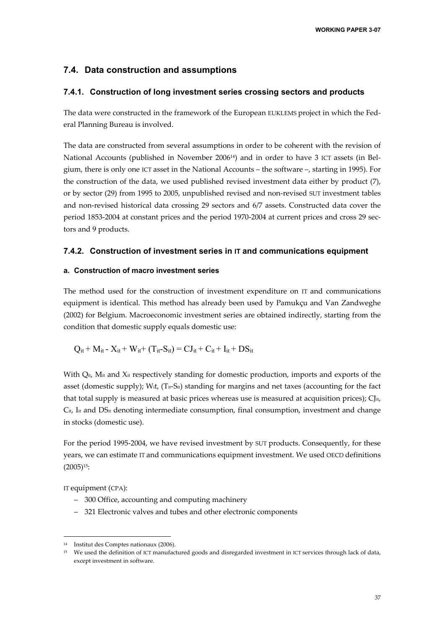#### **7.4. Data construction and assumptions**

#### **7.4.1. Construction of long investment series crossing sectors and products**

The data were constructed in the framework of the European EUKLEMS project in which the Federal Planning Bureau is involved.

The data are constructed from several assumptions in order to be coherent with the revision of National Accounts (published in November 200614) and in order to have 3 ICT assets (in Belgium, there is only one ICT asset in the National Accounts – the software –, starting in 1995). For the construction of the data, we used published revised investment data either by product (7), or by sector (29) from 1995 to 2005, unpublished revised and non-revised SUT investment tables and non-revised historical data crossing 29 sectors and 6/7 assets. Constructed data cover the period 1853-2004 at constant prices and the period 1970-2004 at current prices and cross 29 sectors and 9 products.

#### **7.4.2. Construction of investment series in IT and communications equipment**

#### **a. Construction of macro investment series**

The method used for the construction of investment expenditure on IT and communications equipment is identical. This method has already been used by Pamukçu and Van Zandweghe (2002) for Belgium. Macroeconomic investment series are obtained indirectly, starting from the condition that domestic supply equals domestic use:

$$
Q_{it} + M_{it} - X_{it} + W_{it} + (T_{it} - S_{it}) = CJ_{it} + C_{it} + I_{it} + DS_{it}
$$

With  $Q_{it}$ , M<sub>it</sub> and X<sub>it</sub> respectively standing for domestic production, imports and exports of the asset (domestic supply); W<sub>it</sub>,  $(T_{it}-S_{it})$  standing for margins and net taxes (accounting for the fact that total supply is measured at basic prices whereas use is measured at acquisition prices);  $\mathrm{Cl}_{^{it}}$ ,  $C_{it}$ ,  $I_{it}$  and  $DS_{it}$  denoting intermediate consumption, final consumption, investment and change in stocks (domestic use).

For the period 1995-2004, we have revised investment by SUT products. Consequently, for these years, we can estimate IT and communications equipment investment. We used OECD definitions (2005)15:

IT equipment (CPA):

1

- 300 Office, accounting and computing machinery
- 321 Electronic valves and tubes and other electronic components

<sup>14</sup> Institut des Comptes nationaux (2006).

<sup>15</sup> We used the definition of ICT manufactured goods and disregarded investment in ICT services through lack of data, except investment in software.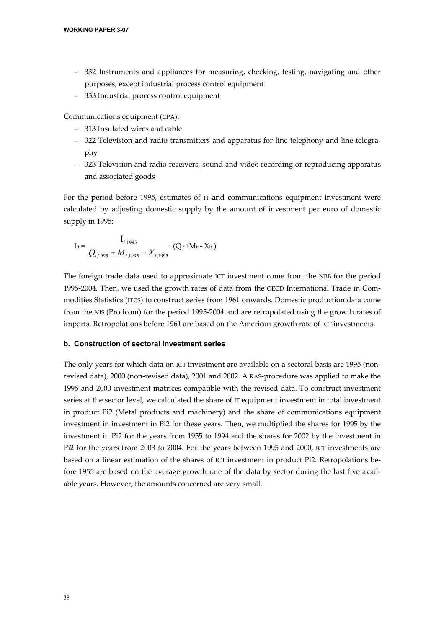- 332 Instruments and appliances for measuring, checking, testing, navigating and other purposes, except industrial process control equipment
- 333 Industrial process control equipment

Communications equipment (CPA):

- 313 Insulated wires and cable
- 322 Television and radio transmitters and apparatus for line telephony and line telegraphy
- 323 Television and radio receivers, sound and video recording or reproducing apparatus and associated goods

For the period before 1995, estimates of IT and communications equipment investment were calculated by adjusting domestic supply by the amount of investment per euro of domestic supply in 1995:

$$
I_{it} = \frac{I_{i,1995}}{Q_{i,1995} + M_{i,1995} - X_{i,1995}}
$$
 (Q<sub>it</sub>+M<sub>it</sub> - X<sub>it</sub>)

The foreign trade data used to approximate ICT investment come from the NBB for the period 1995-2004. Then, we used the growth rates of data from the OECD International Trade in Commodities Statistics (ITCS) to construct series from 1961 onwards. Domestic production data come from the NIS (Prodcom) for the period 1995-2004 and are retropolated using the growth rates of imports. Retropolations before 1961 are based on the American growth rate of ICT investments.

#### **b. Construction of sectoral investment series**

The only years for which data on ICT investment are available on a sectoral basis are 1995 (nonrevised data), 2000 (non-revised data), 2001 and 2002. A RAS-procedure was applied to make the 1995 and 2000 investment matrices compatible with the revised data. To construct investment series at the sector level, we calculated the share of IT equipment investment in total investment in product Pi2 (Metal products and machinery) and the share of communications equipment investment in investment in Pi2 for these years. Then, we multiplied the shares for 1995 by the investment in Pi2 for the years from 1955 to 1994 and the shares for 2002 by the investment in Pi2 for the years from 2003 to 2004. For the years between 1995 and 2000, ICT investments are based on a linear estimation of the shares of ICT investment in product Pi2. Retropolations before 1955 are based on the average growth rate of the data by sector during the last five available years. However, the amounts concerned are very small.